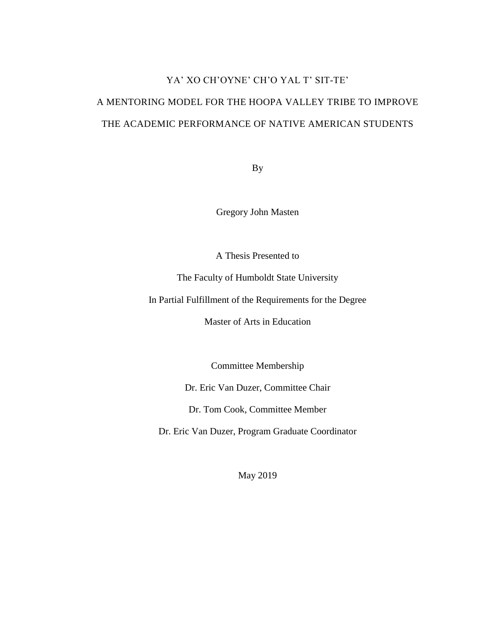# YA' XO CH'OYNE' CH'O YAL T' SIT-TE' A MENTORING MODEL FOR THE HOOPA VALLEY TRIBE TO IMPROVE THE ACADEMIC PERFORMANCE OF NATIVE AMERICAN STUDENTS

By

Gregory John Masten

A Thesis Presented to

The Faculty of Humboldt State University

In Partial Fulfillment of the Requirements for the Degree

Master of Arts in Education

Committee Membership

Dr. Eric Van Duzer, Committee Chair

Dr. Tom Cook, Committee Member

Dr. Eric Van Duzer, Program Graduate Coordinator

May 2019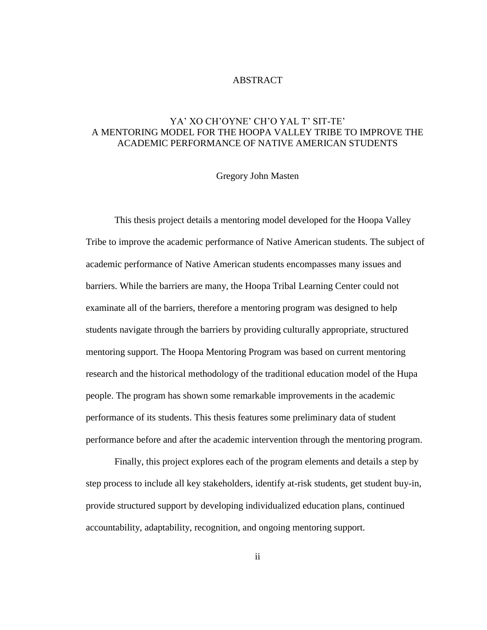#### ABSTRACT

# <span id="page-1-0"></span>YA' XO CH'OYNE' CH'O YAL T' SIT-TE' A MENTORING MODEL FOR THE HOOPA VALLEY TRIBE TO IMPROVE THE ACADEMIC PERFORMANCE OF NATIVE AMERICAN STUDENTS

#### Gregory John Masten

This thesis project details a mentoring model developed for the Hoopa Valley Tribe to improve the academic performance of Native American students. The subject of academic performance of Native American students encompasses many issues and barriers. While the barriers are many, the Hoopa Tribal Learning Center could not examinate all of the barriers, therefore a mentoring program was designed to help students navigate through the barriers by providing culturally appropriate, structured mentoring support. The Hoopa Mentoring Program was based on current mentoring research and the historical methodology of the traditional education model of the Hupa people. The program has shown some remarkable improvements in the academic performance of its students. This thesis features some preliminary data of student performance before and after the academic intervention through the mentoring program.

Finally, this project explores each of the program elements and details a step by step process to include all key stakeholders, identify at-risk students, get student buy-in, provide structured support by developing individualized education plans, continued accountability, adaptability, recognition, and ongoing mentoring support.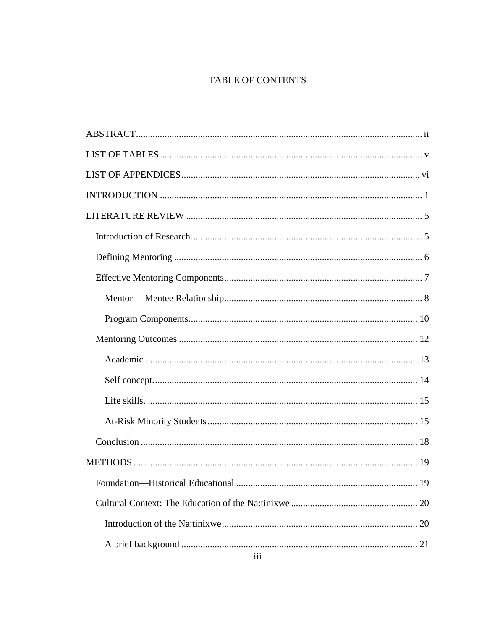# TABLE OF CONTENTS

| 20  |  |
|-----|--|
|     |  |
|     |  |
| iii |  |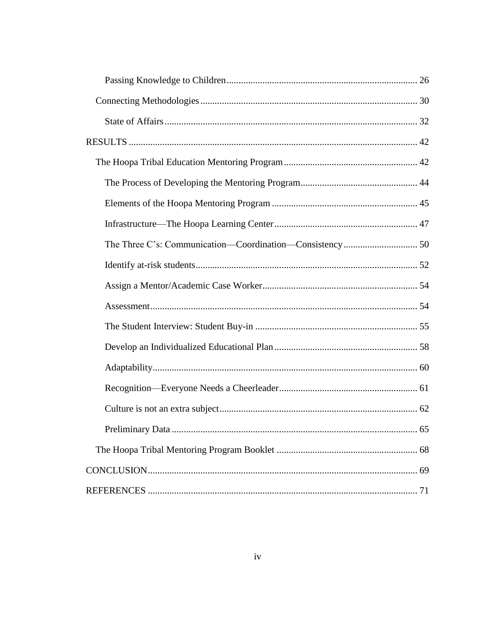| 65 |
|----|
|    |
|    |
|    |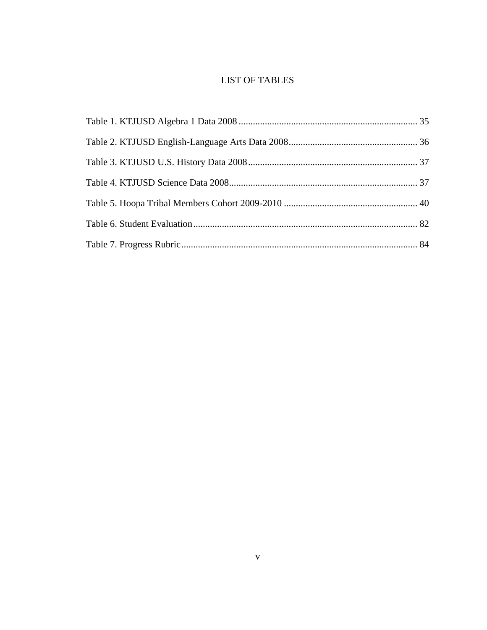# LIST OF TABLES

<span id="page-4-0"></span>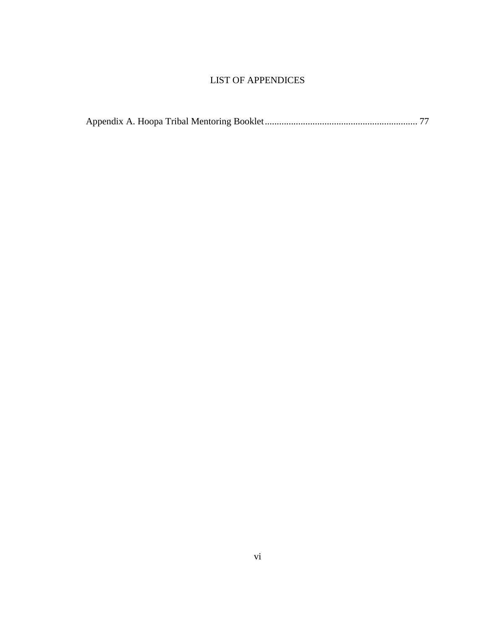# LIST OF APPENDICES

<span id="page-5-0"></span>

|--|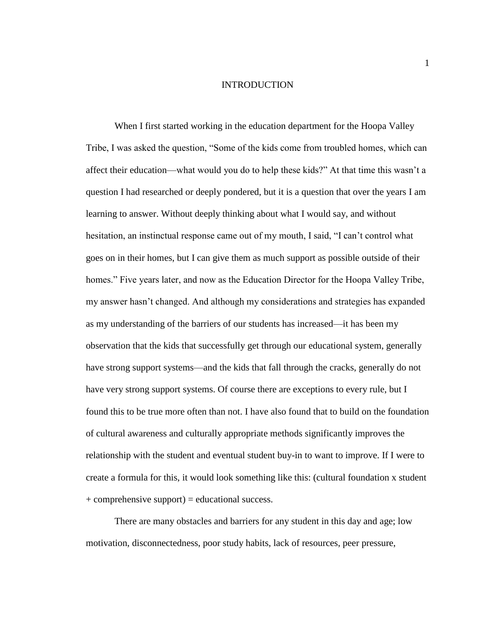#### INTRODUCTION

<span id="page-6-0"></span>When I first started working in the education department for the Hoopa Valley Tribe, I was asked the question, "Some of the kids come from troubled homes, which can affect their education—what would you do to help these kids?" At that time this wasn't a question I had researched or deeply pondered, but it is a question that over the years I am learning to answer. Without deeply thinking about what I would say, and without hesitation, an instinctual response came out of my mouth, I said, "I can't control what goes on in their homes, but I can give them as much support as possible outside of their homes." Five years later, and now as the Education Director for the Hoopa Valley Tribe, my answer hasn't changed. And although my considerations and strategies has expanded as my understanding of the barriers of our students has increased—it has been my observation that the kids that successfully get through our educational system, generally have strong support systems—and the kids that fall through the cracks, generally do not have very strong support systems. Of course there are exceptions to every rule, but I found this to be true more often than not. I have also found that to build on the foundation of cultural awareness and culturally appropriate methods significantly improves the relationship with the student and eventual student buy-in to want to improve. If I were to create a formula for this, it would look something like this: (cultural foundation x student  $+$  comprehensive support) = educational success.

There are many obstacles and barriers for any student in this day and age; low motivation, disconnectedness, poor study habits, lack of resources, peer pressure,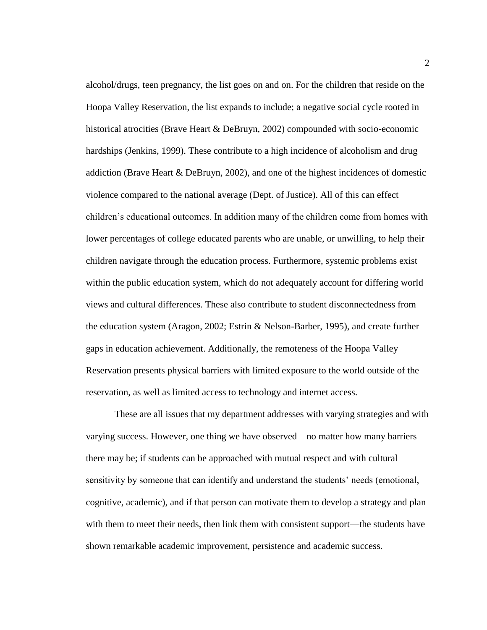alcohol/drugs, teen pregnancy, the list goes on and on. For the children that reside on the Hoopa Valley Reservation, the list expands to include; a negative social cycle rooted in historical atrocities (Brave Heart & DeBruyn, 2002) compounded with socio-economic hardships (Jenkins, 1999). These contribute to a high incidence of alcoholism and drug addiction (Brave Heart & DeBruyn, 2002), and one of the highest incidences of domestic violence compared to the national average (Dept. of Justice). All of this can effect children's educational outcomes. In addition many of the children come from homes with lower percentages of college educated parents who are unable, or unwilling, to help their children navigate through the education process. Furthermore, systemic problems exist within the public education system, which do not adequately account for differing world views and cultural differences. These also contribute to student disconnectedness from the education system (Aragon, 2002; Estrin & Nelson-Barber, 1995), and create further gaps in education achievement. Additionally, the remoteness of the Hoopa Valley Reservation presents physical barriers with limited exposure to the world outside of the reservation, as well as limited access to technology and internet access.

These are all issues that my department addresses with varying strategies and with varying success. However, one thing we have observed—no matter how many barriers there may be; if students can be approached with mutual respect and with cultural sensitivity by someone that can identify and understand the students' needs (emotional, cognitive, academic), and if that person can motivate them to develop a strategy and plan with them to meet their needs, then link them with consistent support—the students have shown remarkable academic improvement, persistence and academic success.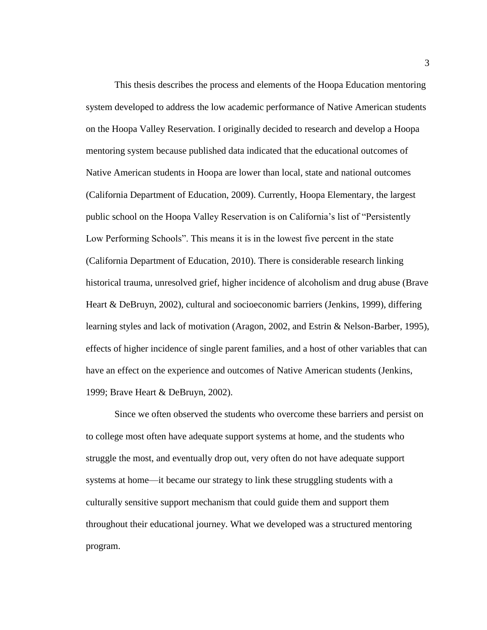This thesis describes the process and elements of the Hoopa Education mentoring system developed to address the low academic performance of Native American students on the Hoopa Valley Reservation. I originally decided to research and develop a Hoopa mentoring system because published data indicated that the educational outcomes of Native American students in Hoopa are lower than local, state and national outcomes (California Department of Education, 2009). Currently, Hoopa Elementary, the largest public school on the Hoopa Valley Reservation is on California's list of "Persistently Low Performing Schools". This means it is in the lowest five percent in the state (California Department of Education, 2010). There is considerable research linking historical trauma, unresolved grief, higher incidence of alcoholism and drug abuse (Brave Heart & DeBruyn, 2002), cultural and socioeconomic barriers (Jenkins, 1999), differing learning styles and lack of motivation (Aragon, 2002, and Estrin & Nelson-Barber, 1995), effects of higher incidence of single parent families, and a host of other variables that can have an effect on the experience and outcomes of Native American students (Jenkins, 1999; Brave Heart & DeBruyn, 2002).

Since we often observed the students who overcome these barriers and persist on to college most often have adequate support systems at home, and the students who struggle the most, and eventually drop out, very often do not have adequate support systems at home—it became our strategy to link these struggling students with a culturally sensitive support mechanism that could guide them and support them throughout their educational journey. What we developed was a structured mentoring program.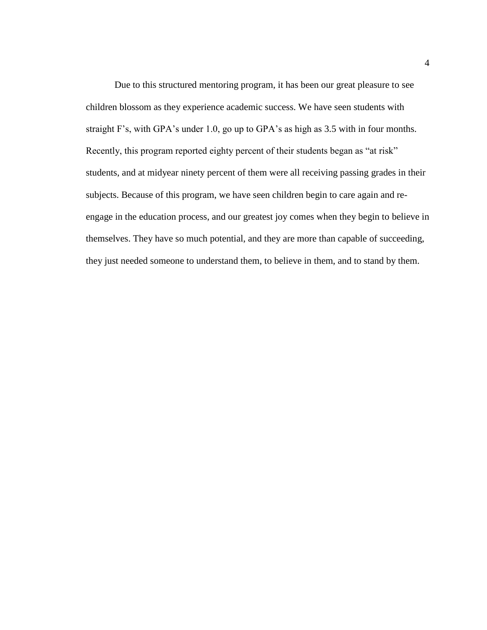Due to this structured mentoring program, it has been our great pleasure to see children blossom as they experience academic success. We have seen students with straight F's, with GPA's under 1.0, go up to GPA's as high as 3.5 with in four months. Recently, this program reported eighty percent of their students began as "at risk" students, and at midyear ninety percent of them were all receiving passing grades in their subjects. Because of this program, we have seen children begin to care again and reengage in the education process, and our greatest joy comes when they begin to believe in themselves. They have so much potential, and they are more than capable of succeeding, they just needed someone to understand them, to believe in them, and to stand by them.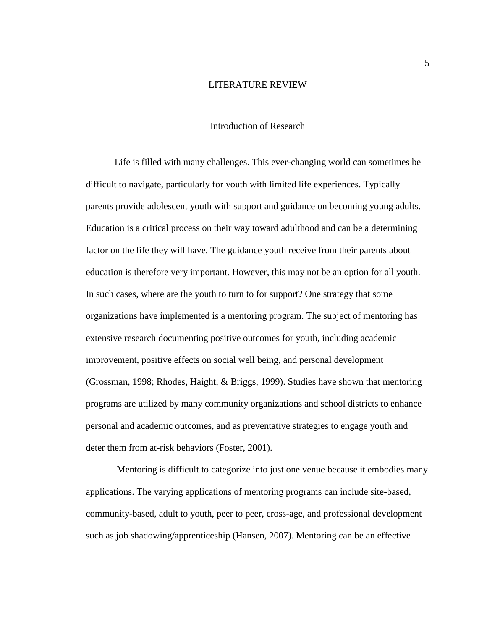#### LITERATURE REVIEW

#### Introduction of Research

<span id="page-10-1"></span><span id="page-10-0"></span>Life is filled with many challenges. This ever-changing world can sometimes be difficult to navigate, particularly for youth with limited life experiences. Typically parents provide adolescent youth with support and guidance on becoming young adults. Education is a critical process on their way toward adulthood and can be a determining factor on the life they will have. The guidance youth receive from their parents about education is therefore very important. However, this may not be an option for all youth. In such cases, where are the youth to turn to for support? One strategy that some organizations have implemented is a mentoring program. The subject of mentoring has extensive research documenting positive outcomes for youth, including academic improvement, positive effects on social well being, and personal development (Grossman, 1998; Rhodes, Haight, & Briggs, 1999). Studies have shown that mentoring programs are utilized by many community organizations and school districts to enhance personal and academic outcomes, and as preventative strategies to engage youth and deter them from at-risk behaviors (Foster, 2001).

Mentoring is difficult to categorize into just one venue because it embodies many applications. The varying applications of mentoring programs can include site-based, community-based, adult to youth, peer to peer, cross-age, and professional development such as job shadowing/apprenticeship (Hansen, 2007). Mentoring can be an effective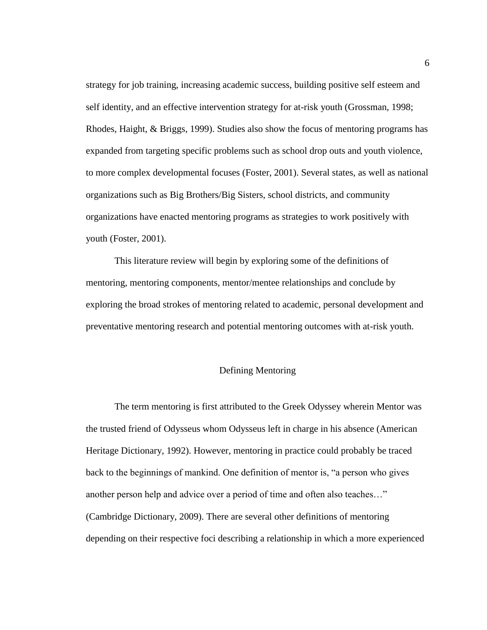strategy for job training, increasing academic success, building positive self esteem and self identity, and an effective intervention strategy for at-risk youth (Grossman, 1998; Rhodes, Haight, & Briggs, 1999). Studies also show the focus of mentoring programs has expanded from targeting specific problems such as school drop outs and youth violence, to more complex developmental focuses (Foster, 2001). Several states, as well as national organizations such as Big Brothers/Big Sisters, school districts, and community organizations have enacted mentoring programs as strategies to work positively with youth (Foster, 2001).

This literature review will begin by exploring some of the definitions of mentoring, mentoring components, mentor/mentee relationships and conclude by exploring the broad strokes of mentoring related to academic, personal development and preventative mentoring research and potential mentoring outcomes with at-risk youth.

## Defining Mentoring

<span id="page-11-0"></span>The term mentoring is first attributed to the Greek Odyssey wherein Mentor was the trusted friend of Odysseus whom Odysseus left in charge in his absence (American Heritage Dictionary, 1992). However, mentoring in practice could probably be traced back to the beginnings of mankind. One definition of mentor is, "a person who gives another person help and advice over a period of time and often also teaches…" (Cambridge Dictionary, 2009). There are several other definitions of mentoring depending on their respective foci describing a relationship in which a more experienced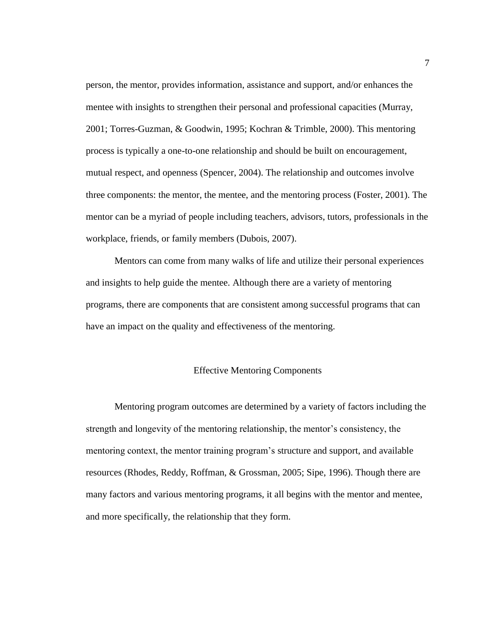person, the mentor, provides information, assistance and support, and/or enhances the mentee with insights to strengthen their personal and professional capacities (Murray, 2001; Torres-Guzman, & Goodwin, 1995; Kochran & Trimble, 2000). This mentoring process is typically a one-to-one relationship and should be built on encouragement, mutual respect, and openness (Spencer, 2004). The relationship and outcomes involve three components: the mentor, the mentee, and the mentoring process (Foster, 2001). The mentor can be a myriad of people including teachers, advisors, tutors, professionals in the workplace, friends, or family members (Dubois, 2007).

Mentors can come from many walks of life and utilize their personal experiences and insights to help guide the mentee. Although there are a variety of mentoring programs, there are components that are consistent among successful programs that can have an impact on the quality and effectiveness of the mentoring.

#### Effective Mentoring Components

<span id="page-12-0"></span>Mentoring program outcomes are determined by a variety of factors including the strength and longevity of the mentoring relationship, the mentor's consistency, the mentoring context, the mentor training program's structure and support, and available resources (Rhodes, Reddy, Roffman, & Grossman, 2005; Sipe, 1996). Though there are many factors and various mentoring programs, it all begins with the mentor and mentee, and more specifically, the relationship that they form.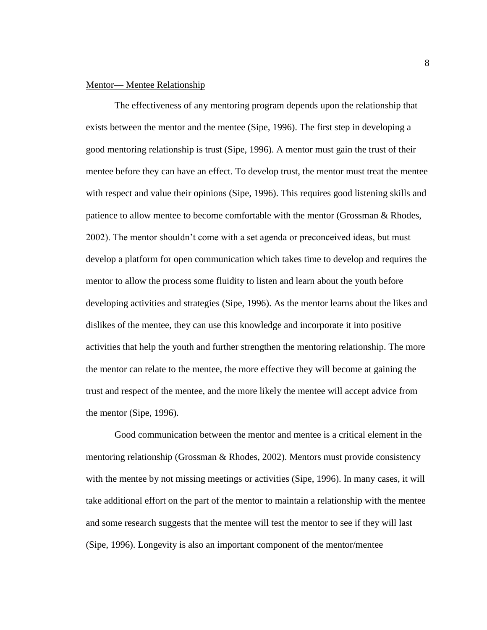#### <span id="page-13-0"></span>Mentor— Mentee Relationship

The effectiveness of any mentoring program depends upon the relationship that exists between the mentor and the mentee (Sipe, 1996). The first step in developing a good mentoring relationship is trust (Sipe, 1996). A mentor must gain the trust of their mentee before they can have an effect. To develop trust, the mentor must treat the mentee with respect and value their opinions (Sipe, 1996). This requires good listening skills and patience to allow mentee to become comfortable with the mentor (Grossman & Rhodes, 2002). The mentor shouldn't come with a set agenda or preconceived ideas, but must develop a platform for open communication which takes time to develop and requires the mentor to allow the process some fluidity to listen and learn about the youth before developing activities and strategies (Sipe, 1996). As the mentor learns about the likes and dislikes of the mentee, they can use this knowledge and incorporate it into positive activities that help the youth and further strengthen the mentoring relationship. The more the mentor can relate to the mentee, the more effective they will become at gaining the trust and respect of the mentee, and the more likely the mentee will accept advice from the mentor (Sipe, 1996).

Good communication between the mentor and mentee is a critical element in the mentoring relationship (Grossman & Rhodes, 2002). Mentors must provide consistency with the mentee by not missing meetings or activities (Sipe, 1996). In many cases, it will take additional effort on the part of the mentor to maintain a relationship with the mentee and some research suggests that the mentee will test the mentor to see if they will last (Sipe, 1996). Longevity is also an important component of the mentor/mentee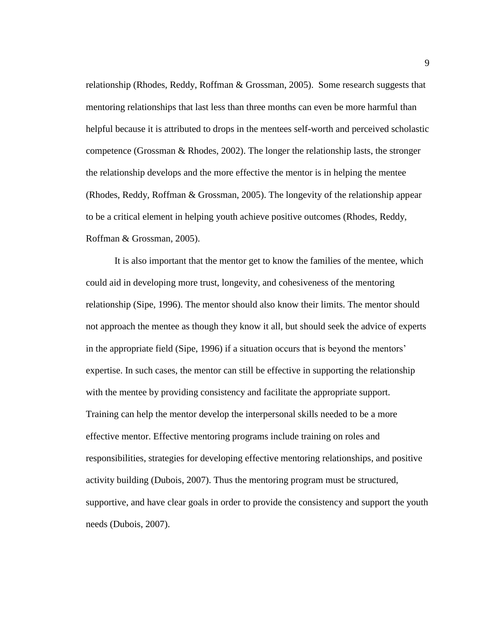relationship (Rhodes, Reddy, Roffman & Grossman, 2005). Some research suggests that mentoring relationships that last less than three months can even be more harmful than helpful because it is attributed to drops in the mentees self-worth and perceived scholastic competence (Grossman  $\&$  Rhodes, 2002). The longer the relationship lasts, the stronger the relationship develops and the more effective the mentor is in helping the mentee (Rhodes, Reddy, Roffman & Grossman, 2005). The longevity of the relationship appear to be a critical element in helping youth achieve positive outcomes (Rhodes, Reddy, Roffman & Grossman, 2005).

It is also important that the mentor get to know the families of the mentee, which could aid in developing more trust, longevity, and cohesiveness of the mentoring relationship (Sipe, 1996). The mentor should also know their limits. The mentor should not approach the mentee as though they know it all, but should seek the advice of experts in the appropriate field (Sipe, 1996) if a situation occurs that is beyond the mentors' expertise. In such cases, the mentor can still be effective in supporting the relationship with the mentee by providing consistency and facilitate the appropriate support. Training can help the mentor develop the interpersonal skills needed to be a more effective mentor. Effective mentoring programs include training on roles and responsibilities, strategies for developing effective mentoring relationships, and positive activity building (Dubois, 2007). Thus the mentoring program must be structured, supportive, and have clear goals in order to provide the consistency and support the youth needs (Dubois, 2007).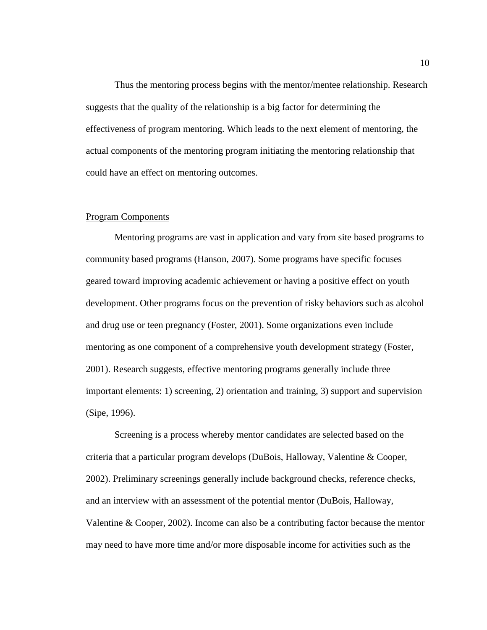Thus the mentoring process begins with the mentor/mentee relationship. Research suggests that the quality of the relationship is a big factor for determining the effectiveness of program mentoring. Which leads to the next element of mentoring, the actual components of the mentoring program initiating the mentoring relationship that could have an effect on mentoring outcomes.

#### <span id="page-15-0"></span>Program Components

Mentoring programs are vast in application and vary from site based programs to community based programs (Hanson, 2007). Some programs have specific focuses geared toward improving academic achievement or having a positive effect on youth development. Other programs focus on the prevention of risky behaviors such as alcohol and drug use or teen pregnancy (Foster, 2001). Some organizations even include mentoring as one component of a comprehensive youth development strategy (Foster, 2001). Research suggests, effective mentoring programs generally include three important elements: 1) screening, 2) orientation and training, 3) support and supervision (Sipe, 1996).

Screening is a process whereby mentor candidates are selected based on the criteria that a particular program develops (DuBois, Halloway, Valentine & Cooper, 2002). Preliminary screenings generally include background checks, reference checks, and an interview with an assessment of the potential mentor (DuBois, Halloway, Valentine & Cooper, 2002). Income can also be a contributing factor because the mentor may need to have more time and/or more disposable income for activities such as the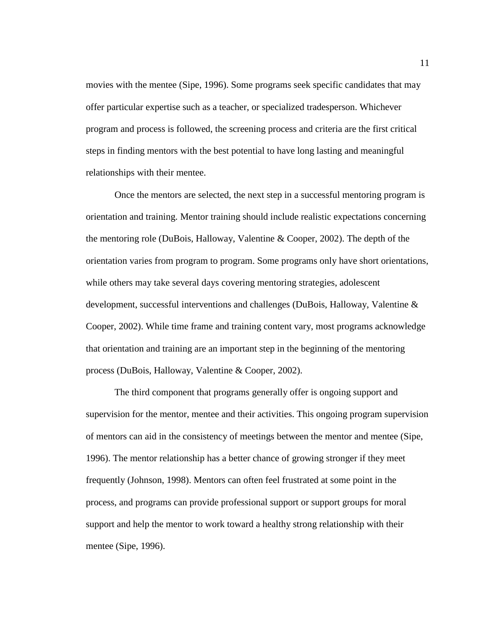movies with the mentee (Sipe, 1996). Some programs seek specific candidates that may offer particular expertise such as a teacher, or specialized tradesperson. Whichever program and process is followed, the screening process and criteria are the first critical steps in finding mentors with the best potential to have long lasting and meaningful relationships with their mentee.

Once the mentors are selected, the next step in a successful mentoring program is orientation and training. Mentor training should include realistic expectations concerning the mentoring role (DuBois, Halloway, Valentine & Cooper, 2002). The depth of the orientation varies from program to program. Some programs only have short orientations, while others may take several days covering mentoring strategies, adolescent development, successful interventions and challenges (DuBois, Halloway, Valentine & Cooper, 2002). While time frame and training content vary, most programs acknowledge that orientation and training are an important step in the beginning of the mentoring process (DuBois, Halloway, Valentine & Cooper, 2002).

The third component that programs generally offer is ongoing support and supervision for the mentor, mentee and their activities. This ongoing program supervision of mentors can aid in the consistency of meetings between the mentor and mentee (Sipe, 1996). The mentor relationship has a better chance of growing stronger if they meet frequently (Johnson, 1998). Mentors can often feel frustrated at some point in the process, and programs can provide professional support or support groups for moral support and help the mentor to work toward a healthy strong relationship with their mentee (Sipe, 1996).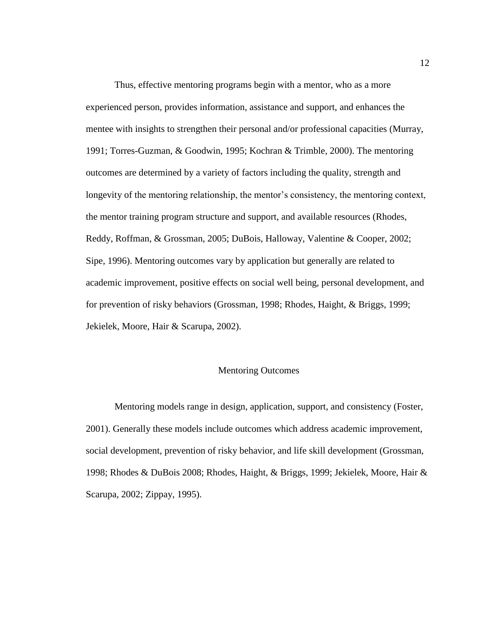Thus, effective mentoring programs begin with a mentor, who as a more experienced person, provides information, assistance and support, and enhances the mentee with insights to strengthen their personal and/or professional capacities (Murray, 1991; Torres-Guzman, & Goodwin, 1995; Kochran & Trimble, 2000). The mentoring outcomes are determined by a variety of factors including the quality, strength and longevity of the mentoring relationship, the mentor's consistency, the mentoring context, the mentor training program structure and support, and available resources (Rhodes, Reddy, Roffman, & Grossman, 2005; DuBois, Halloway, Valentine & Cooper, 2002; Sipe, 1996). Mentoring outcomes vary by application but generally are related to academic improvement, positive effects on social well being, personal development, and for prevention of risky behaviors (Grossman, 1998; Rhodes, Haight, & Briggs, 1999; Jekielek, Moore, Hair & Scarupa, 2002).

#### <span id="page-17-0"></span>Mentoring Outcomes

Mentoring models range in design, application, support, and consistency (Foster, 2001). Generally these models include outcomes which address academic improvement, social development, prevention of risky behavior, and life skill development (Grossman, 1998; Rhodes & DuBois 2008; Rhodes, Haight, & Briggs, 1999; Jekielek, Moore, Hair & Scarupa, 2002; Zippay, 1995).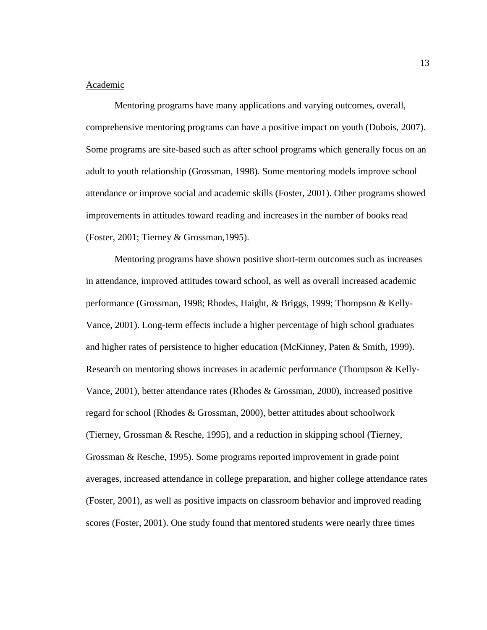## <span id="page-18-0"></span>Academic

Mentoring programs have many applications and varying outcomes, overall, comprehensive mentoring programs can have a positive impact on youth (Dubois, 2007). Some programs are site-based such as after school programs which generally focus on an adult to youth relationship (Grossman, 1998). Some mentoring models improve school attendance or improve social and academic skills (Foster, 2001). Other programs showed improvements in attitudes toward reading and increases in the number of books read (Foster, 2001; Tierney & Grossman,1995).

Mentoring programs have shown positive short-term outcomes such as increases in attendance, improved attitudes toward school, as well as overall increased academic performance (Grossman, 1998; Rhodes, Haight, & Briggs, 1999; Thompson & Kelly-Vance, 2001). Long-term effects include a higher percentage of high school graduates and higher rates of persistence to higher education (McKinney, Paten & Smith, 1999). Research on mentoring shows increases in academic performance (Thompson & Kelly-Vance, 2001), better attendance rates (Rhodes & Grossman, 2000), increased positive regard for school (Rhodes & Grossman, 2000), better attitudes about schoolwork (Tierney, Grossman & Resche, 1995), and a reduction in skipping school (Tierney, Grossman & Resche, 1995). Some programs reported improvement in grade point averages, increased attendance in college preparation, and higher college attendance rates (Foster, 2001), as well as positive impacts on classroom behavior and improved reading scores (Foster, 2001). One study found that mentored students were nearly three times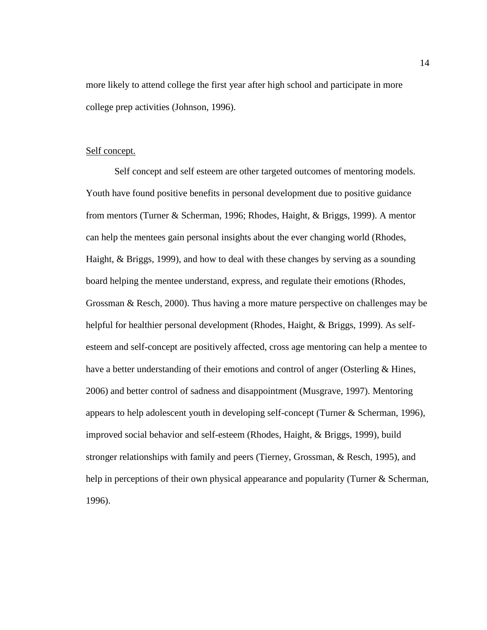more likely to attend college the first year after high school and participate in more college prep activities (Johnson, 1996).

## <span id="page-19-0"></span>Self concept.

Self concept and self esteem are other targeted outcomes of mentoring models. Youth have found positive benefits in personal development due to positive guidance from mentors (Turner & Scherman, 1996; Rhodes, Haight, & Briggs, 1999). A mentor can help the mentees gain personal insights about the ever changing world (Rhodes, Haight, & Briggs, 1999), and how to deal with these changes by serving as a sounding board helping the mentee understand, express, and regulate their emotions (Rhodes, Grossman & Resch, 2000). Thus having a more mature perspective on challenges may be helpful for healthier personal development (Rhodes, Haight, & Briggs, 1999). As selfesteem and self-concept are positively affected, cross age mentoring can help a mentee to have a better understanding of their emotions and control of anger (Osterling & Hines, 2006) and better control of sadness and disappointment (Musgrave, 1997). Mentoring appears to help adolescent youth in developing self-concept (Turner & Scherman, 1996), improved social behavior and self-esteem (Rhodes, Haight, & Briggs, 1999), build stronger relationships with family and peers (Tierney, Grossman, & Resch, 1995), and help in perceptions of their own physical appearance and popularity (Turner & Scherman, 1996).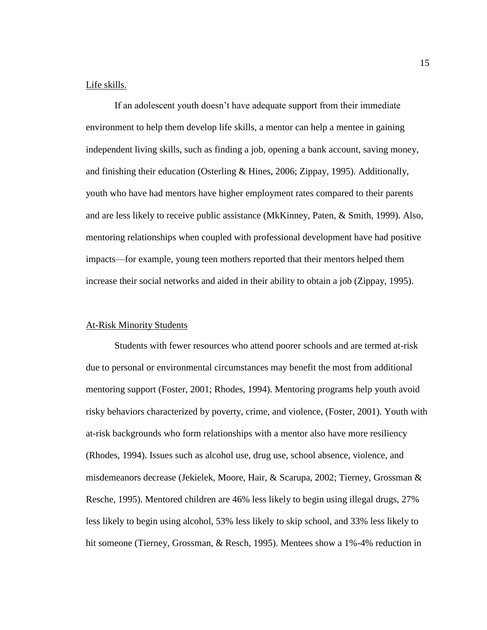## <span id="page-20-0"></span>Life skills.

If an adolescent youth doesn't have adequate support from their immediate environment to help them develop life skills, a mentor can help a mentee in gaining independent living skills, such as finding a job, opening a bank account, saving money, and finishing their education (Osterling & Hines, 2006; Zippay, 1995). Additionally, youth who have had mentors have higher employment rates compared to their parents and are less likely to receive public assistance (MkKinney, Paten, & Smith, 1999). Also, mentoring relationships when coupled with professional development have had positive impacts—for example, young teen mothers reported that their mentors helped them increase their social networks and aided in their ability to obtain a job (Zippay, 1995).

### <span id="page-20-1"></span>At-Risk Minority Students

Students with fewer resources who attend poorer schools and are termed at-risk due to personal or environmental circumstances may benefit the most from additional mentoring support (Foster, 2001; Rhodes, 1994). Mentoring programs help youth avoid risky behaviors characterized by poverty, crime, and violence, (Foster, 2001). Youth with at-risk backgrounds who form relationships with a mentor also have more resiliency (Rhodes, 1994). Issues such as alcohol use, drug use, school absence, violence, and misdemeanors decrease (Jekielek, Moore, Hair, & Scarupa, 2002; Tierney, Grossman & Resche, 1995). Mentored children are 46% less likely to begin using illegal drugs, 27% less likely to begin using alcohol, 53% less likely to skip school, and 33% less likely to hit someone (Tierney, Grossman, & Resch, 1995). Mentees show a 1%-4% reduction in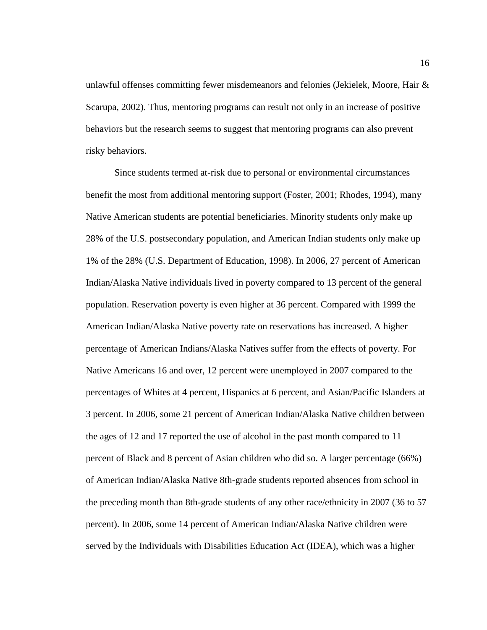unlawful offenses committing fewer misdemeanors and felonies (Jekielek, Moore, Hair & Scarupa, 2002). Thus, mentoring programs can result not only in an increase of positive behaviors but the research seems to suggest that mentoring programs can also prevent risky behaviors.

Since students termed at-risk due to personal or environmental circumstances benefit the most from additional mentoring support (Foster, 2001; Rhodes, 1994), many Native American students are potential beneficiaries. Minority students only make up 28% of the U.S. postsecondary population, and American Indian students only make up 1% of the 28% (U.S. Department of Education, 1998). In 2006, 27 percent of American Indian/Alaska Native individuals lived in poverty compared to 13 percent of the general population. Reservation poverty is even higher at 36 percent. Compared with 1999 the American Indian/Alaska Native poverty rate on reservations has increased. A higher percentage of American Indians/Alaska Natives suffer from the effects of poverty. For Native Americans 16 and over, 12 percent were unemployed in 2007 compared to the percentages of Whites at 4 percent, Hispanics at 6 percent, and Asian/Pacific Islanders at 3 percent. In 2006, some 21 percent of American Indian/Alaska Native children between the ages of 12 and 17 reported the use of alcohol in the past month compared to 11 percent of Black and 8 percent of Asian children who did so. A larger percentage (66%) of American Indian/Alaska Native 8th-grade students reported absences from school in the preceding month than 8th-grade students of any other race/ethnicity in 2007 (36 to 57 percent). In 2006, some 14 percent of American Indian/Alaska Native children were served by the Individuals with Disabilities Education Act (IDEA), which was a higher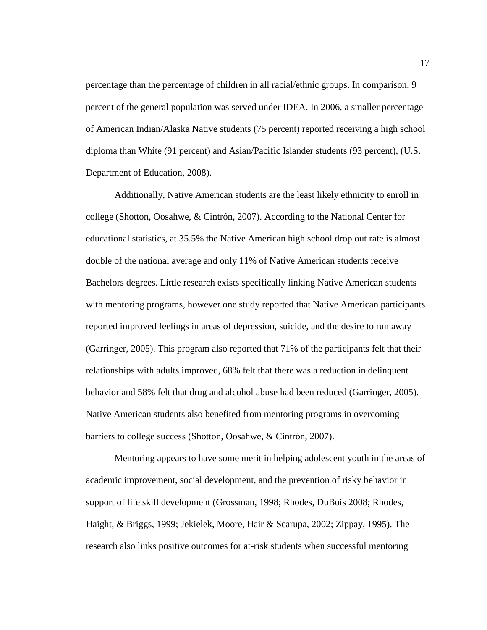percentage than the percentage of children in all racial/ethnic groups. In comparison, 9 percent of the general population was served under IDEA. In 2006, a smaller percentage of American Indian/Alaska Native students (75 percent) reported receiving a high school diploma than White (91 percent) and Asian/Pacific Islander students (93 percent), (U.S. Department of Education, 2008).

Additionally, Native American students are the least likely ethnicity to enroll in college (Shotton, Oosahwe, & Cintrón, 2007). According to the National Center for educational statistics, at 35.5% the Native American high school drop out rate is almost double of the national average and only 11% of Native American students receive Bachelors degrees. Little research exists specifically linking Native American students with mentoring programs, however one study reported that Native American participants reported improved feelings in areas of depression, suicide, and the desire to run away (Garringer, 2005). This program also reported that 71% of the participants felt that their relationships with adults improved, 68% felt that there was a reduction in delinquent behavior and 58% felt that drug and alcohol abuse had been reduced (Garringer, 2005). Native American students also benefited from mentoring programs in overcoming barriers to college success (Shotton, Oosahwe, & Cintrón, 2007).

Mentoring appears to have some merit in helping adolescent youth in the areas of academic improvement, social development, and the prevention of risky behavior in support of life skill development (Grossman, 1998; Rhodes, DuBois 2008; Rhodes, Haight, & Briggs, 1999; Jekielek, Moore, Hair & Scarupa, 2002; Zippay, 1995). The research also links positive outcomes for at-risk students when successful mentoring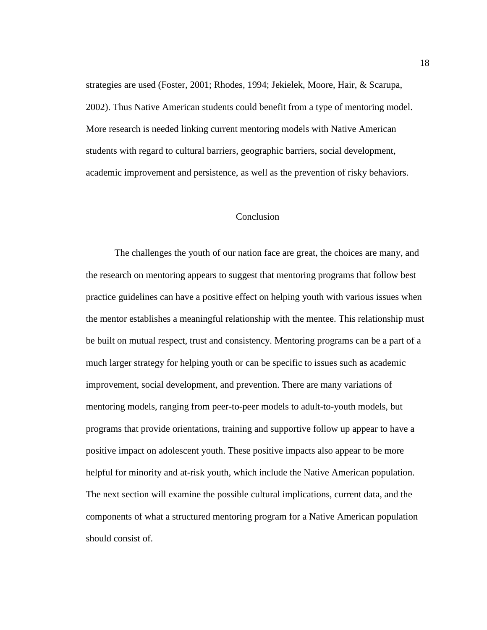strategies are used (Foster, 2001; Rhodes, 1994; Jekielek, Moore, Hair, & Scarupa, 2002). Thus Native American students could benefit from a type of mentoring model. More research is needed linking current mentoring models with Native American students with regard to cultural barriers, geographic barriers, social development, academic improvement and persistence, as well as the prevention of risky behaviors.

### Conclusion

<span id="page-23-0"></span>The challenges the youth of our nation face are great, the choices are many, and the research on mentoring appears to suggest that mentoring programs that follow best practice guidelines can have a positive effect on helping youth with various issues when the mentor establishes a meaningful relationship with the mentee. This relationship must be built on mutual respect, trust and consistency. Mentoring programs can be a part of a much larger strategy for helping youth or can be specific to issues such as academic improvement, social development, and prevention. There are many variations of mentoring models, ranging from peer-to-peer models to adult-to-youth models, but programs that provide orientations, training and supportive follow up appear to have a positive impact on adolescent youth. These positive impacts also appear to be more helpful for minority and at-risk youth, which include the Native American population. The next section will examine the possible cultural implications, current data, and the components of what a structured mentoring program for a Native American population should consist of.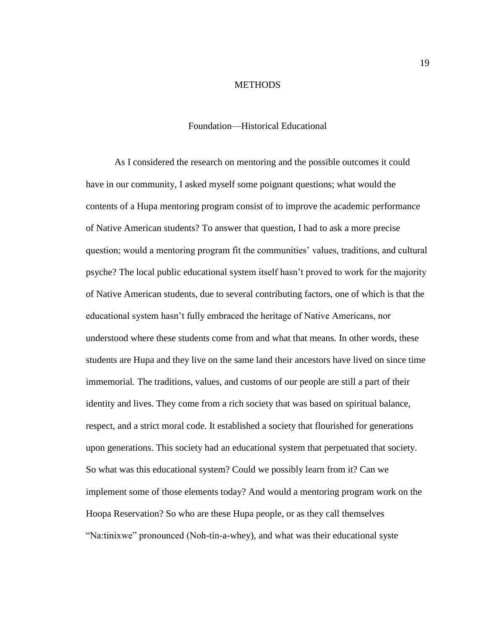#### **METHODS**

#### Foundation—Historical Educational

<span id="page-24-1"></span><span id="page-24-0"></span>As I considered the research on mentoring and the possible outcomes it could have in our community, I asked myself some poignant questions; what would the contents of a Hupa mentoring program consist of to improve the academic performance of Native American students? To answer that question, I had to ask a more precise question; would a mentoring program fit the communities' values, traditions, and cultural psyche? The local public educational system itself hasn't proved to work for the majority of Native American students, due to several contributing factors, one of which is that the educational system hasn't fully embraced the heritage of Native Americans, nor understood where these students come from and what that means. In other words, these students are Hupa and they live on the same land their ancestors have lived on since time immemorial. The traditions, values, and customs of our people are still a part of their identity and lives. They come from a rich society that was based on spiritual balance, respect, and a strict moral code. It established a society that flourished for generations upon generations. This society had an educational system that perpetuated that society. So what was this educational system? Could we possibly learn from it? Can we implement some of those elements today? And would a mentoring program work on the Hoopa Reservation? So who are these Hupa people, or as they call themselves "Na:tinixwe" pronounced (Noh-tin-a-whey), and what was their educational syste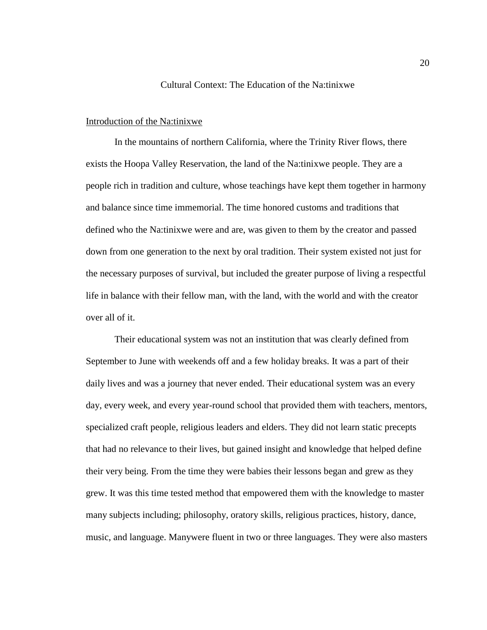#### Cultural Context: The Education of the Na:tinixwe

#### <span id="page-25-1"></span><span id="page-25-0"></span>Introduction of the Na:tinixwe

In the mountains of northern California, where the Trinity River flows, there exists the Hoopa Valley Reservation, the land of the Na:tinixwe people. They are a people rich in tradition and culture, whose teachings have kept them together in harmony and balance since time immemorial. The time honored customs and traditions that defined who the Na:tinixwe were and are, was given to them by the creator and passed down from one generation to the next by oral tradition. Their system existed not just for the necessary purposes of survival, but included the greater purpose of living a respectful life in balance with their fellow man, with the land, with the world and with the creator over all of it.

Their educational system was not an institution that was clearly defined from September to June with weekends off and a few holiday breaks. It was a part of their daily lives and was a journey that never ended. Their educational system was an every day, every week, and every year-round school that provided them with teachers, mentors, specialized craft people, religious leaders and elders. They did not learn static precepts that had no relevance to their lives, but gained insight and knowledge that helped define their very being. From the time they were babies their lessons began and grew as they grew. It was this time tested method that empowered them with the knowledge to master many subjects including; philosophy, oratory skills, religious practices, history, dance, music, and language. Manywere fluent in two or three languages. They were also masters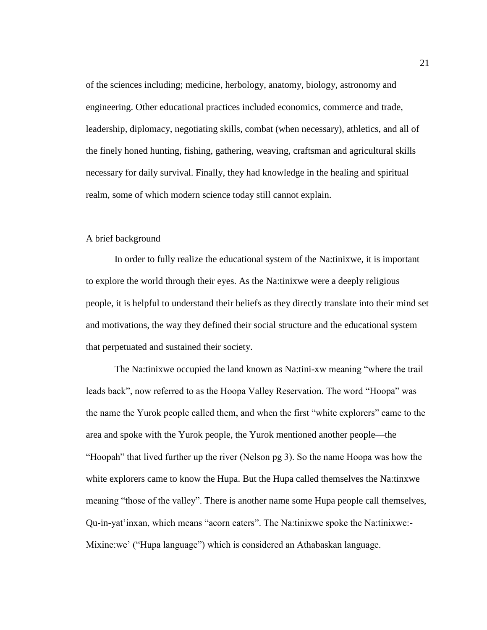of the sciences including; medicine, herbology, anatomy, biology, astronomy and engineering. Other educational practices included economics, commerce and trade, leadership, diplomacy, negotiating skills, combat (when necessary), athletics, and all of the finely honed hunting, fishing, gathering, weaving, craftsman and agricultural skills necessary for daily survival. Finally, they had knowledge in the healing and spiritual realm, some of which modern science today still cannot explain.

#### <span id="page-26-0"></span>A brief background

In order to fully realize the educational system of the Na:tinixwe, it is important to explore the world through their eyes. As the Na:tinixwe were a deeply religious people, it is helpful to understand their beliefs as they directly translate into their mind set and motivations, the way they defined their social structure and the educational system that perpetuated and sustained their society.

The Na:tinixwe occupied the land known as Na:tini-xw meaning "where the trail leads back", now referred to as the Hoopa Valley Reservation. The word "Hoopa" was the name the Yurok people called them, and when the first "white explorers" came to the area and spoke with the Yurok people, the Yurok mentioned another people—the "Hoopah" that lived further up the river (Nelson pg 3). So the name Hoopa was how the white explorers came to know the Hupa. But the Hupa called themselves the Na:tinxwe meaning "those of the valley". There is another name some Hupa people call themselves, Qu-in-yat'inxan, which means "acorn eaters". The Na:tinixwe spoke the Na:tinixwe:- Mixine:we' ("Hupa language") which is considered an Athabaskan language.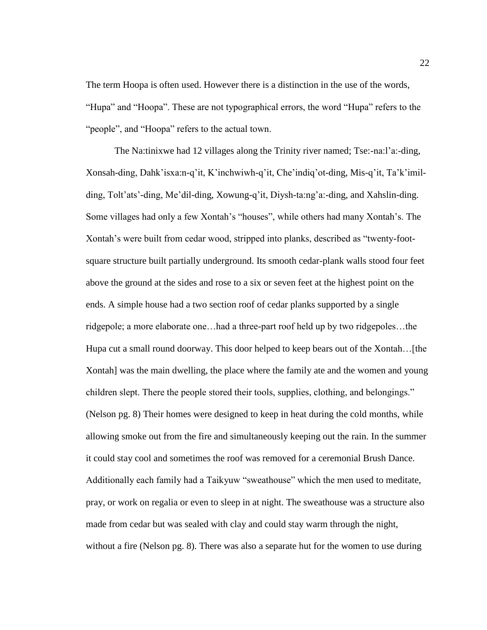The term Hoopa is often used. However there is a distinction in the use of the words, "Hupa" and "Hoopa". These are not typographical errors, the word "Hupa" refers to the "people", and "Hoopa" refers to the actual town.

The Na:tinixwe had 12 villages along the Trinity river named; Tse:-na:l'a:-ding, Xonsah-ding, Dahk'isxa:n-q'it, K'inchwiwh-q'it, Che'indiq'ot-ding, Mis-q'it, Ta'k'imilding, Tolt'ats'-ding, Me'dil-ding, Xowung-q'it, Diysh-ta:ng'a:-ding, and Xahslin-ding. Some villages had only a few Xontah's "houses", while others had many Xontah's. The Xontah's were built from cedar wood, stripped into planks, described as "twenty-footsquare structure built partially underground. Its smooth cedar-plank walls stood four feet above the ground at the sides and rose to a six or seven feet at the highest point on the ends. A simple house had a two section roof of cedar planks supported by a single ridgepole; a more elaborate one…had a three-part roof held up by two ridgepoles…the Hupa cut a small round doorway. This door helped to keep bears out of the Xontah…[the Xontah] was the main dwelling, the place where the family ate and the women and young children slept. There the people stored their tools, supplies, clothing, and belongings." (Nelson pg. 8) Their homes were designed to keep in heat during the cold months, while allowing smoke out from the fire and simultaneously keeping out the rain. In the summer it could stay cool and sometimes the roof was removed for a ceremonial Brush Dance. Additionally each family had a Taikyuw "sweathouse" which the men used to meditate, pray, or work on regalia or even to sleep in at night. The sweathouse was a structure also made from cedar but was sealed with clay and could stay warm through the night, without a fire (Nelson pg. 8). There was also a separate hut for the women to use during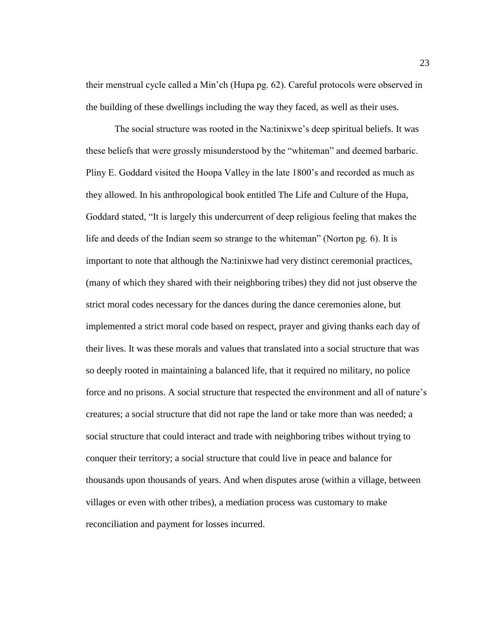their menstrual cycle called a Min'ch (Hupa pg. 62). Careful protocols were observed in the building of these dwellings including the way they faced, as well as their uses.

The social structure was rooted in the Na:tinixwe's deep spiritual beliefs. It was these beliefs that were grossly misunderstood by the "whiteman" and deemed barbaric. Pliny E. Goddard visited the Hoopa Valley in the late 1800's and recorded as much as they allowed. In his anthropological book entitled The Life and Culture of the Hupa, Goddard stated, "It is largely this undercurrent of deep religious feeling that makes the life and deeds of the Indian seem so strange to the whiteman" (Norton pg. 6). It is important to note that although the Na:tinixwe had very distinct ceremonial practices, (many of which they shared with their neighboring tribes) they did not just observe the strict moral codes necessary for the dances during the dance ceremonies alone, but implemented a strict moral code based on respect, prayer and giving thanks each day of their lives. It was these morals and values that translated into a social structure that was so deeply rooted in maintaining a balanced life, that it required no military, no police force and no prisons. A social structure that respected the environment and all of nature's creatures; a social structure that did not rape the land or take more than was needed; a social structure that could interact and trade with neighboring tribes without trying to conquer their territory; a social structure that could live in peace and balance for thousands upon thousands of years. And when disputes arose (within a village, between villages or even with other tribes), a mediation process was customary to make reconciliation and payment for losses incurred.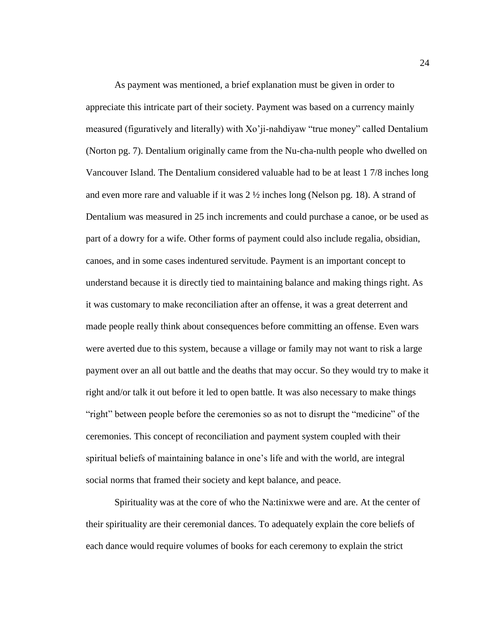As payment was mentioned, a brief explanation must be given in order to appreciate this intricate part of their society. Payment was based on a currency mainly measured (figuratively and literally) with Xo'ji-nahdiyaw "true money" called Dentalium (Norton pg. 7). Dentalium originally came from the Nu-cha-nulth people who dwelled on Vancouver Island. The Dentalium considered valuable had to be at least 1 7/8 inches long and even more rare and valuable if it was  $2 \frac{1}{2}$  inches long (Nelson pg. 18). A strand of Dentalium was measured in 25 inch increments and could purchase a canoe, or be used as part of a dowry for a wife. Other forms of payment could also include regalia, obsidian, canoes, and in some cases indentured servitude. Payment is an important concept to understand because it is directly tied to maintaining balance and making things right. As it was customary to make reconciliation after an offense, it was a great deterrent and made people really think about consequences before committing an offense. Even wars were averted due to this system, because a village or family may not want to risk a large payment over an all out battle and the deaths that may occur. So they would try to make it right and/or talk it out before it led to open battle. It was also necessary to make things "right" between people before the ceremonies so as not to disrupt the "medicine" of the ceremonies. This concept of reconciliation and payment system coupled with their spiritual beliefs of maintaining balance in one's life and with the world, are integral social norms that framed their society and kept balance, and peace.

Spirituality was at the core of who the Na:tinixwe were and are. At the center of their spirituality are their ceremonial dances. To adequately explain the core beliefs of each dance would require volumes of books for each ceremony to explain the strict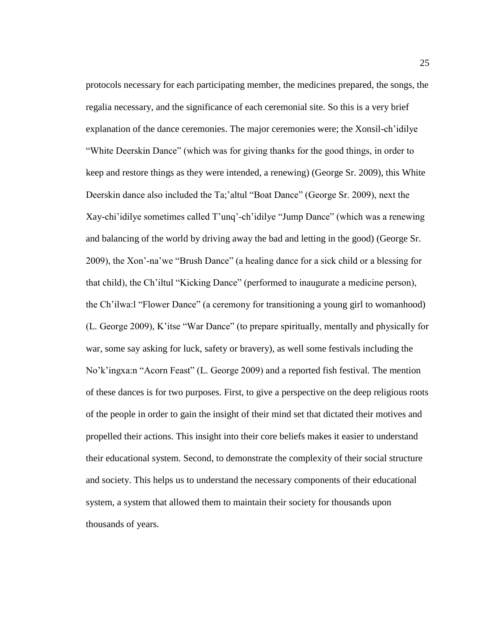protocols necessary for each participating member, the medicines prepared, the songs, the regalia necessary, and the significance of each ceremonial site. So this is a very brief explanation of the dance ceremonies. The major ceremonies were; the Xonsil-ch'idilye "White Deerskin Dance" (which was for giving thanks for the good things, in order to keep and restore things as they were intended, a renewing) (George Sr. 2009), this White Deerskin dance also included the Ta;'altul "Boat Dance" (George Sr. 2009), next the Xay-chi'idilye sometimes called T'unq'-ch'idilye "Jump Dance" (which was a renewing and balancing of the world by driving away the bad and letting in the good) (George Sr. 2009), the Xon'-na'we "Brush Dance" (a healing dance for a sick child or a blessing for that child), the Ch'iltul "Kicking Dance" (performed to inaugurate a medicine person), the Ch'ilwa:l "Flower Dance" (a ceremony for transitioning a young girl to womanhood) (L. George 2009), K'itse "War Dance" (to prepare spiritually, mentally and physically for war, some say asking for luck, safety or bravery), as well some festivals including the No'k'ingxa:n "Acorn Feast" (L. George 2009) and a reported fish festival. The mention of these dances is for two purposes. First, to give a perspective on the deep religious roots of the people in order to gain the insight of their mind set that dictated their motives and propelled their actions. This insight into their core beliefs makes it easier to understand their educational system. Second, to demonstrate the complexity of their social structure and society. This helps us to understand the necessary components of their educational system, a system that allowed them to maintain their society for thousands upon thousands of years.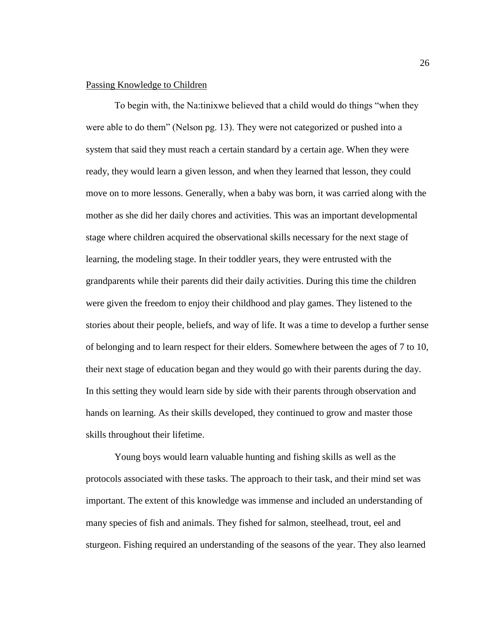### <span id="page-31-0"></span>Passing Knowledge to Children

To begin with, the Na:tinixwe believed that a child would do things "when they were able to do them" (Nelson pg. 13). They were not categorized or pushed into a system that said they must reach a certain standard by a certain age. When they were ready, they would learn a given lesson, and when they learned that lesson, they could move on to more lessons. Generally, when a baby was born, it was carried along with the mother as she did her daily chores and activities. This was an important developmental stage where children acquired the observational skills necessary for the next stage of learning, the modeling stage. In their toddler years, they were entrusted with the grandparents while their parents did their daily activities. During this time the children were given the freedom to enjoy their childhood and play games. They listened to the stories about their people, beliefs, and way of life. It was a time to develop a further sense of belonging and to learn respect for their elders. Somewhere between the ages of 7 to 10, their next stage of education began and they would go with their parents during the day. In this setting they would learn side by side with their parents through observation and hands on learning. As their skills developed, they continued to grow and master those skills throughout their lifetime.

Young boys would learn valuable hunting and fishing skills as well as the protocols associated with these tasks. The approach to their task, and their mind set was important. The extent of this knowledge was immense and included an understanding of many species of fish and animals. They fished for salmon, steelhead, trout, eel and sturgeon. Fishing required an understanding of the seasons of the year. They also learned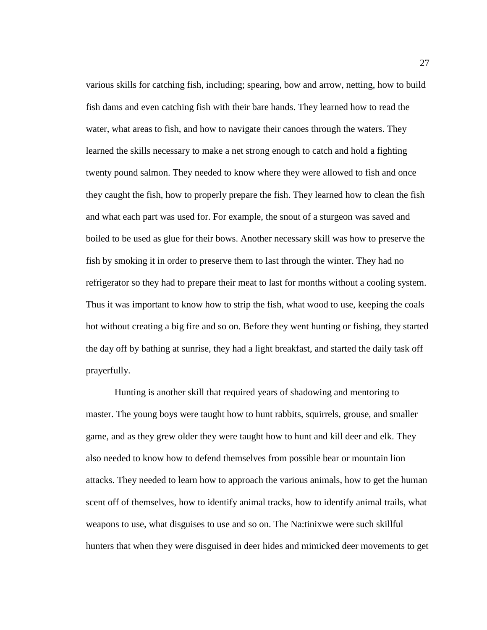various skills for catching fish, including; spearing, bow and arrow, netting, how to build fish dams and even catching fish with their bare hands. They learned how to read the water, what areas to fish, and how to navigate their canoes through the waters. They learned the skills necessary to make a net strong enough to catch and hold a fighting twenty pound salmon. They needed to know where they were allowed to fish and once they caught the fish, how to properly prepare the fish. They learned how to clean the fish and what each part was used for. For example, the snout of a sturgeon was saved and boiled to be used as glue for their bows. Another necessary skill was how to preserve the fish by smoking it in order to preserve them to last through the winter. They had no refrigerator so they had to prepare their meat to last for months without a cooling system. Thus it was important to know how to strip the fish, what wood to use, keeping the coals hot without creating a big fire and so on. Before they went hunting or fishing, they started the day off by bathing at sunrise, they had a light breakfast, and started the daily task off prayerfully.

Hunting is another skill that required years of shadowing and mentoring to master. The young boys were taught how to hunt rabbits, squirrels, grouse, and smaller game, and as they grew older they were taught how to hunt and kill deer and elk. They also needed to know how to defend themselves from possible bear or mountain lion attacks. They needed to learn how to approach the various animals, how to get the human scent off of themselves, how to identify animal tracks, how to identify animal trails, what weapons to use, what disguises to use and so on. The Na:tinixwe were such skillful hunters that when they were disguised in deer hides and mimicked deer movements to get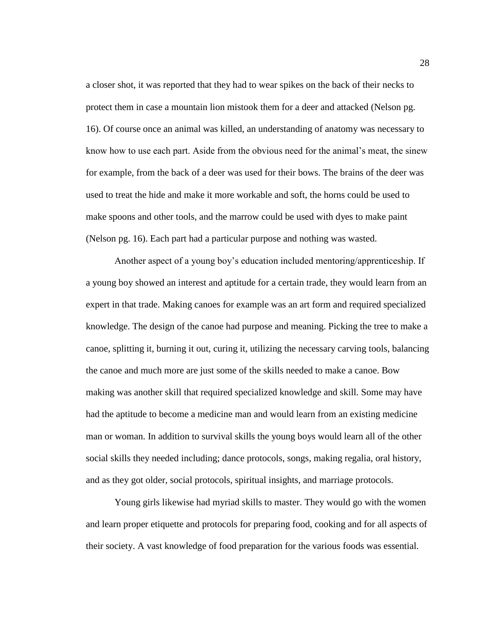a closer shot, it was reported that they had to wear spikes on the back of their necks to protect them in case a mountain lion mistook them for a deer and attacked (Nelson pg. 16). Of course once an animal was killed, an understanding of anatomy was necessary to know how to use each part. Aside from the obvious need for the animal's meat, the sinew for example, from the back of a deer was used for their bows. The brains of the deer was used to treat the hide and make it more workable and soft, the horns could be used to make spoons and other tools, and the marrow could be used with dyes to make paint (Nelson pg. 16). Each part had a particular purpose and nothing was wasted.

Another aspect of a young boy's education included mentoring/apprenticeship. If a young boy showed an interest and aptitude for a certain trade, they would learn from an expert in that trade. Making canoes for example was an art form and required specialized knowledge. The design of the canoe had purpose and meaning. Picking the tree to make a canoe, splitting it, burning it out, curing it, utilizing the necessary carving tools, balancing the canoe and much more are just some of the skills needed to make a canoe. Bow making was another skill that required specialized knowledge and skill. Some may have had the aptitude to become a medicine man and would learn from an existing medicine man or woman. In addition to survival skills the young boys would learn all of the other social skills they needed including; dance protocols, songs, making regalia, oral history, and as they got older, social protocols, spiritual insights, and marriage protocols.

Young girls likewise had myriad skills to master. They would go with the women and learn proper etiquette and protocols for preparing food, cooking and for all aspects of their society. A vast knowledge of food preparation for the various foods was essential.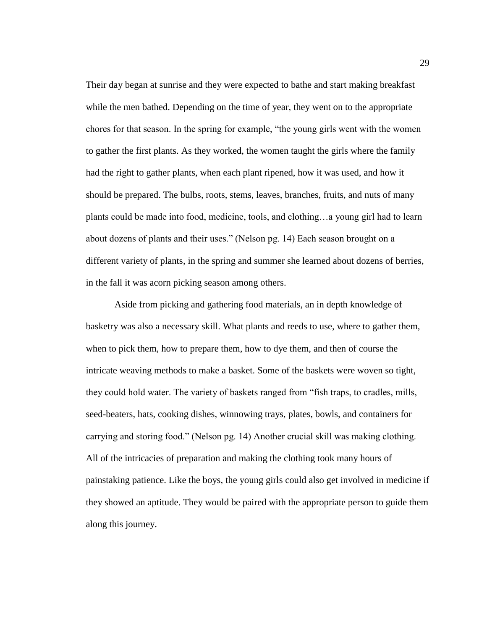Their day began at sunrise and they were expected to bathe and start making breakfast while the men bathed. Depending on the time of year, they went on to the appropriate chores for that season. In the spring for example, "the young girls went with the women to gather the first plants. As they worked, the women taught the girls where the family had the right to gather plants, when each plant ripened, how it was used, and how it should be prepared. The bulbs, roots, stems, leaves, branches, fruits, and nuts of many plants could be made into food, medicine, tools, and clothing…a young girl had to learn about dozens of plants and their uses." (Nelson pg. 14) Each season brought on a different variety of plants, in the spring and summer she learned about dozens of berries, in the fall it was acorn picking season among others.

Aside from picking and gathering food materials, an in depth knowledge of basketry was also a necessary skill. What plants and reeds to use, where to gather them, when to pick them, how to prepare them, how to dye them, and then of course the intricate weaving methods to make a basket. Some of the baskets were woven so tight, they could hold water. The variety of baskets ranged from "fish traps, to cradles, mills, seed-beaters, hats, cooking dishes, winnowing trays, plates, bowls, and containers for carrying and storing food." (Nelson pg. 14) Another crucial skill was making clothing. All of the intricacies of preparation and making the clothing took many hours of painstaking patience. Like the boys, the young girls could also get involved in medicine if they showed an aptitude. They would be paired with the appropriate person to guide them along this journey.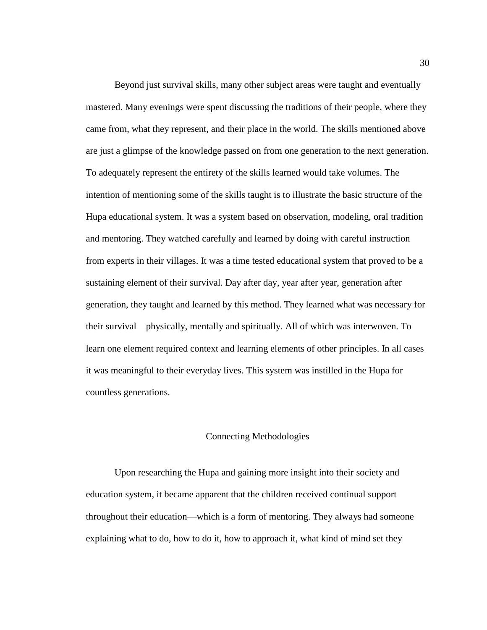Beyond just survival skills, many other subject areas were taught and eventually mastered. Many evenings were spent discussing the traditions of their people, where they came from, what they represent, and their place in the world. The skills mentioned above are just a glimpse of the knowledge passed on from one generation to the next generation. To adequately represent the entirety of the skills learned would take volumes. The intention of mentioning some of the skills taught is to illustrate the basic structure of the Hupa educational system. It was a system based on observation, modeling, oral tradition and mentoring. They watched carefully and learned by doing with careful instruction from experts in their villages. It was a time tested educational system that proved to be a sustaining element of their survival. Day after day, year after year, generation after generation, they taught and learned by this method. They learned what was necessary for their survival—physically, mentally and spiritually. All of which was interwoven. To learn one element required context and learning elements of other principles. In all cases it was meaningful to their everyday lives. This system was instilled in the Hupa for countless generations.

#### Connecting Methodologies

<span id="page-35-0"></span>Upon researching the Hupa and gaining more insight into their society and education system, it became apparent that the children received continual support throughout their education—which is a form of mentoring. They always had someone explaining what to do, how to do it, how to approach it, what kind of mind set they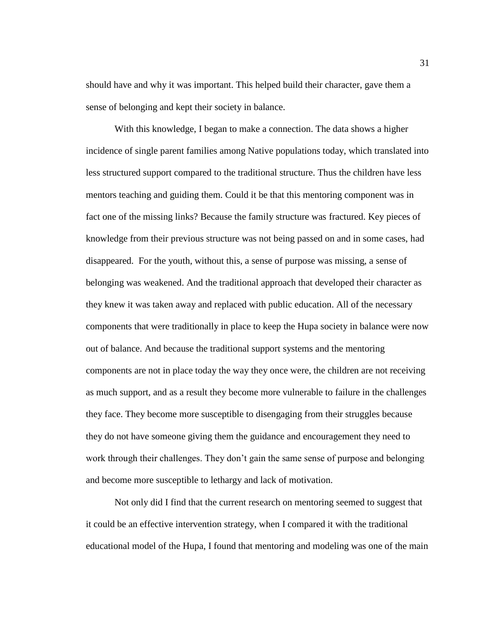should have and why it was important. This helped build their character, gave them a sense of belonging and kept their society in balance.

With this knowledge, I began to make a connection. The data shows a higher incidence of single parent families among Native populations today, which translated into less structured support compared to the traditional structure. Thus the children have less mentors teaching and guiding them. Could it be that this mentoring component was in fact one of the missing links? Because the family structure was fractured. Key pieces of knowledge from their previous structure was not being passed on and in some cases, had disappeared. For the youth, without this, a sense of purpose was missing, a sense of belonging was weakened. And the traditional approach that developed their character as they knew it was taken away and replaced with public education. All of the necessary components that were traditionally in place to keep the Hupa society in balance were now out of balance. And because the traditional support systems and the mentoring components are not in place today the way they once were, the children are not receiving as much support, and as a result they become more vulnerable to failure in the challenges they face. They become more susceptible to disengaging from their struggles because they do not have someone giving them the guidance and encouragement they need to work through their challenges. They don't gain the same sense of purpose and belonging and become more susceptible to lethargy and lack of motivation.

Not only did I find that the current research on mentoring seemed to suggest that it could be an effective intervention strategy, when I compared it with the traditional educational model of the Hupa, I found that mentoring and modeling was one of the main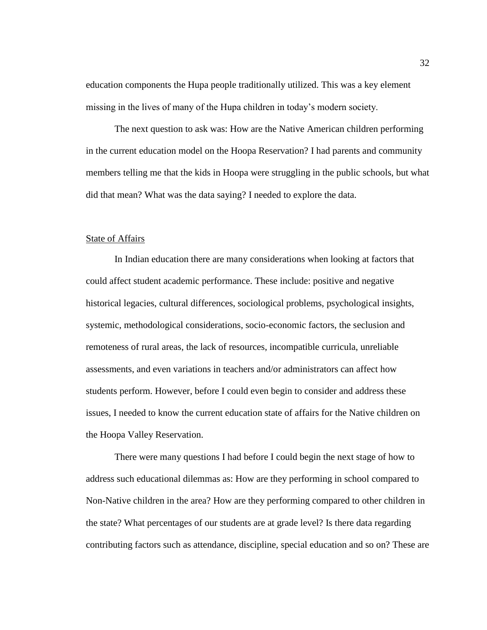education components the Hupa people traditionally utilized. This was a key element missing in the lives of many of the Hupa children in today's modern society.

The next question to ask was: How are the Native American children performing in the current education model on the Hoopa Reservation? I had parents and community members telling me that the kids in Hoopa were struggling in the public schools, but what did that mean? What was the data saying? I needed to explore the data.

#### State of Affairs

In Indian education there are many considerations when looking at factors that could affect student academic performance. These include: positive and negative historical legacies, cultural differences, sociological problems, psychological insights, systemic, methodological considerations, socio-economic factors, the seclusion and remoteness of rural areas, the lack of resources, incompatible curricula, unreliable assessments, and even variations in teachers and/or administrators can affect how students perform. However, before I could even begin to consider and address these issues, I needed to know the current education state of affairs for the Native children on the Hoopa Valley Reservation.

There were many questions I had before I could begin the next stage of how to address such educational dilemmas as: How are they performing in school compared to Non-Native children in the area? How are they performing compared to other children in the state? What percentages of our students are at grade level? Is there data regarding contributing factors such as attendance, discipline, special education and so on? These are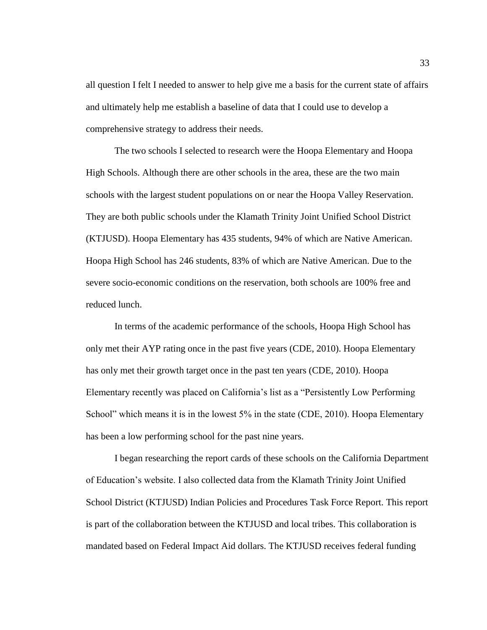all question I felt I needed to answer to help give me a basis for the current state of affairs and ultimately help me establish a baseline of data that I could use to develop a comprehensive strategy to address their needs.

The two schools I selected to research were the Hoopa Elementary and Hoopa High Schools. Although there are other schools in the area, these are the two main schools with the largest student populations on or near the Hoopa Valley Reservation. They are both public schools under the Klamath Trinity Joint Unified School District (KTJUSD). Hoopa Elementary has 435 students, 94% of which are Native American. Hoopa High School has 246 students, 83% of which are Native American. Due to the severe socio-economic conditions on the reservation, both schools are 100% free and reduced lunch.

In terms of the academic performance of the schools, Hoopa High School has only met their AYP rating once in the past five years (CDE, 2010). Hoopa Elementary has only met their growth target once in the past ten years (CDE, 2010). Hoopa Elementary recently was placed on California's list as a "Persistently Low Performing School" which means it is in the lowest 5% in the state (CDE, 2010). Hoopa Elementary has been a low performing school for the past nine years.

I began researching the report cards of these schools on the California Department of Education's website. I also collected data from the Klamath Trinity Joint Unified School District (KTJUSD) Indian Policies and Procedures Task Force Report. This report is part of the collaboration between the KTJUSD and local tribes. This collaboration is mandated based on Federal Impact Aid dollars. The KTJUSD receives federal funding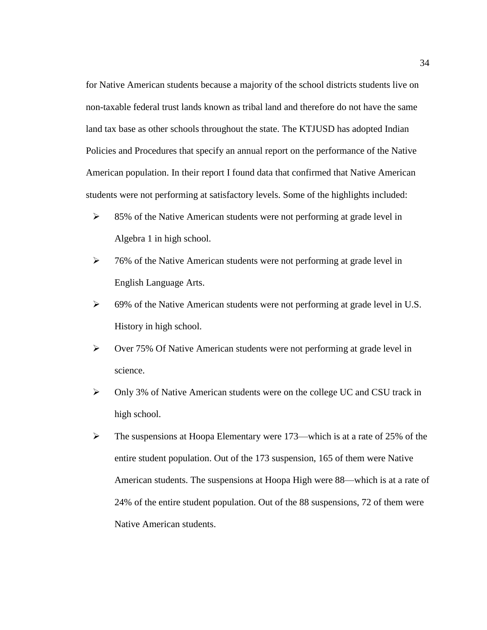for Native American students because a majority of the school districts students live on non-taxable federal trust lands known as tribal land and therefore do not have the same land tax base as other schools throughout the state. The KTJUSD has adopted Indian Policies and Procedures that specify an annual report on the performance of the Native American population. In their report I found data that confirmed that Native American students were not performing at satisfactory levels. Some of the highlights included:

- ➢ 85% of the Native American students were not performing at grade level in Algebra 1 in high school.
- ➢ 76% of the Native American students were not performing at grade level in English Language Arts.
- ➢ 69% of the Native American students were not performing at grade level in U.S. History in high school.
- ➢ Over 75% Of Native American students were not performing at grade level in science.
- ➢ Only 3% of Native American students were on the college UC and CSU track in high school.
- ➢ The suspensions at Hoopa Elementary were 173—which is at a rate of 25% of the entire student population. Out of the 173 suspension, 165 of them were Native American students. The suspensions at Hoopa High were 88—which is at a rate of 24% of the entire student population. Out of the 88 suspensions, 72 of them were Native American students.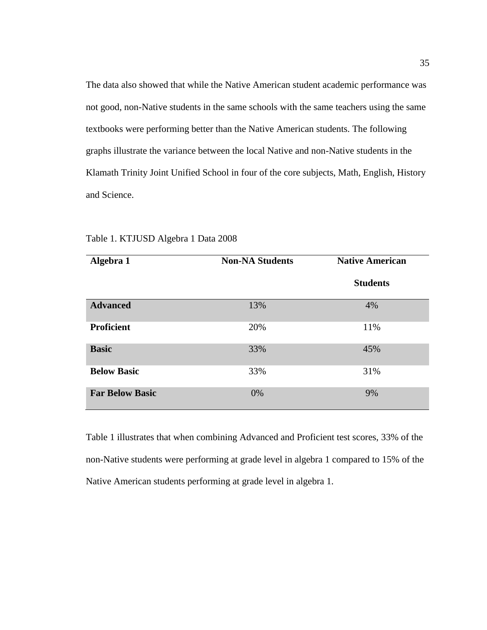The data also showed that while the Native American student academic performance was not good, non-Native students in the same schools with the same teachers using the same textbooks were performing better than the Native American students. The following graphs illustrate the variance between the local Native and non-Native students in the Klamath Trinity Joint Unified School in four of the core subjects, Math, English, History and Science.

| Algebra 1              | <b>Non-NA Students</b> | <b>Native American</b> |
|------------------------|------------------------|------------------------|
|                        |                        | <b>Students</b>        |
| <b>Advanced</b>        | 13%                    | 4%                     |
| <b>Proficient</b>      | 20%                    | 11%                    |
| <b>Basic</b>           | 33%                    | 45%                    |
| <b>Below Basic</b>     | 33%                    | 31%                    |
| <b>Far Below Basic</b> | 0%                     | 9%                     |

Table 1. KTJUSD Algebra 1 Data 2008

Table 1 illustrates that when combining Advanced and Proficient test scores, 33% of the non-Native students were performing at grade level in algebra 1 compared to 15% of the Native American students performing at grade level in algebra 1.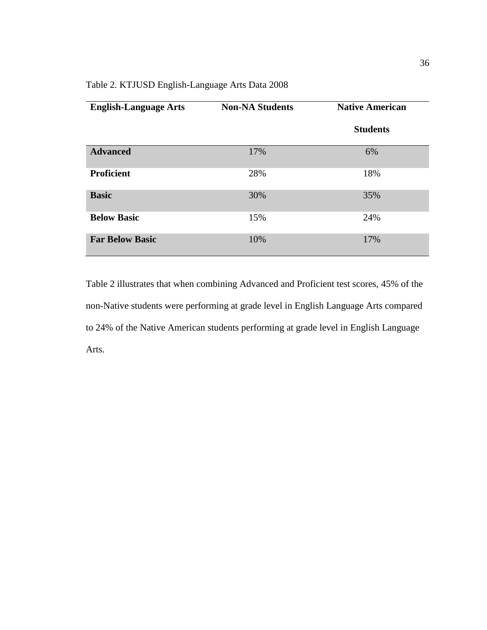# Table 2. KTJUSD English-Language Arts Data 2008

| <b>English-Language Arts</b> | <b>Non-NA Students</b> | <b>Native American</b> |  |  |
|------------------------------|------------------------|------------------------|--|--|
|                              |                        | <b>Students</b>        |  |  |
| <b>Advanced</b>              | 17%                    | 6%                     |  |  |
| <b>Proficient</b>            | 28%                    | 18%                    |  |  |
| <b>Basic</b>                 | 30%                    | 35%                    |  |  |
| <b>Below Basic</b>           | 15%                    | 24%                    |  |  |
| <b>Far Below Basic</b>       | 10%                    | 17%                    |  |  |

Table 2 illustrates that when combining Advanced and Proficient test scores, 45% of the non-Native students were performing at grade level in English Language Arts compared to 24% of the Native American students performing at grade level in English Language Arts.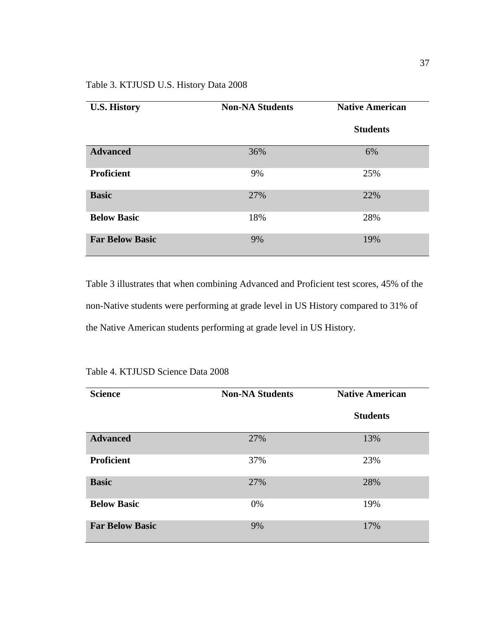| <b>U.S. History</b>    | <b>Non-NA Students</b> | <b>Native American</b> |  |
|------------------------|------------------------|------------------------|--|
|                        |                        | <b>Students</b>        |  |
| <b>Advanced</b>        | 36%                    | 6%                     |  |
| <b>Proficient</b>      | 9%                     | 25%                    |  |
| <b>Basic</b>           | 27%                    | 22%                    |  |
| <b>Below Basic</b>     | 18%                    | 28%                    |  |
| <b>Far Below Basic</b> | 9%                     | 19%                    |  |

Table 3 illustrates that when combining Advanced and Proficient test scores, 45% of the non-Native students were performing at grade level in US History compared to 31% of the Native American students performing at grade level in US History.

| <b>Science</b>         | <b>Non-NA Students</b> | <b>Native American</b> |
|------------------------|------------------------|------------------------|
|                        |                        | <b>Students</b>        |
| <b>Advanced</b>        | 27%                    | 13%                    |
| <b>Proficient</b>      | 37%                    | 23%                    |
| <b>Basic</b>           | 27%                    | 28%                    |
| <b>Below Basic</b>     | 0%                     | 19%                    |
| <b>Far Below Basic</b> | 9%                     | 17%                    |

|  | Table 4. KTJUSD Science Data 2008 |  |  |
|--|-----------------------------------|--|--|
|--|-----------------------------------|--|--|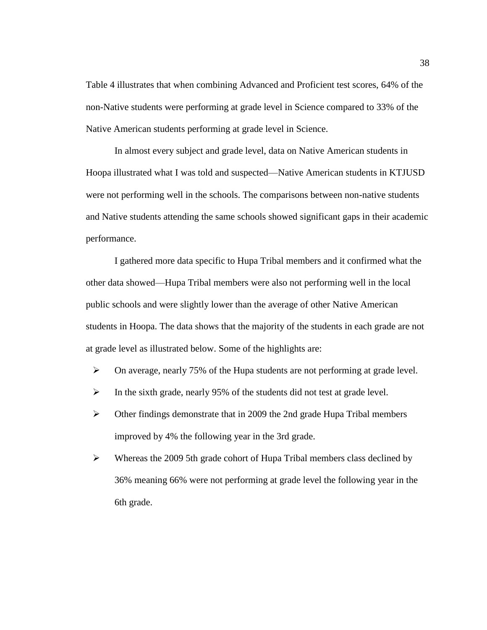Table 4 illustrates that when combining Advanced and Proficient test scores, 64% of the non-Native students were performing at grade level in Science compared to 33% of the Native American students performing at grade level in Science.

In almost every subject and grade level, data on Native American students in Hoopa illustrated what I was told and suspected—Native American students in KTJUSD were not performing well in the schools. The comparisons between non-native students and Native students attending the same schools showed significant gaps in their academic performance.

I gathered more data specific to Hupa Tribal members and it confirmed what the other data showed—Hupa Tribal members were also not performing well in the local public schools and were slightly lower than the average of other Native American students in Hoopa. The data shows that the majority of the students in each grade are not at grade level as illustrated below. Some of the highlights are:

- ➢ On average, nearly 75% of the Hupa students are not performing at grade level.
- ➢ In the sixth grade, nearly 95% of the students did not test at grade level.
- ➢ Other findings demonstrate that in 2009 the 2nd grade Hupa Tribal members improved by 4% the following year in the 3rd grade.
- $\triangleright$  Whereas the 2009 5th grade cohort of Hupa Tribal members class declined by 36% meaning 66% were not performing at grade level the following year in the 6th grade.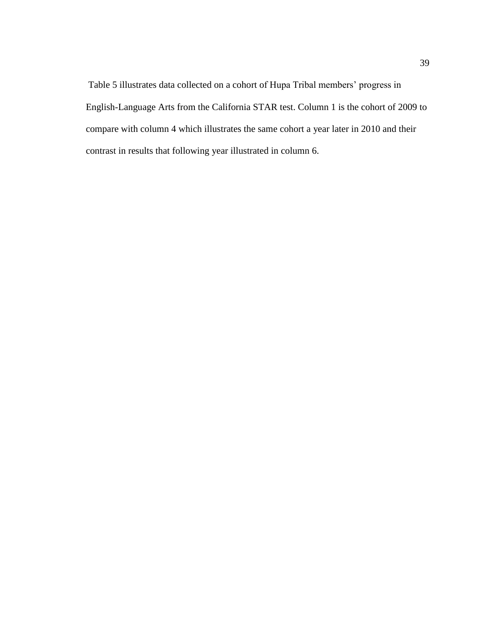Table 5 illustrates data collected on a cohort of Hupa Tribal members' progress in English-Language Arts from the California STAR test. Column 1 is the cohort of 2009 to compare with column 4 which illustrates the same cohort a year later in 2010 and their contrast in results that following year illustrated in column 6.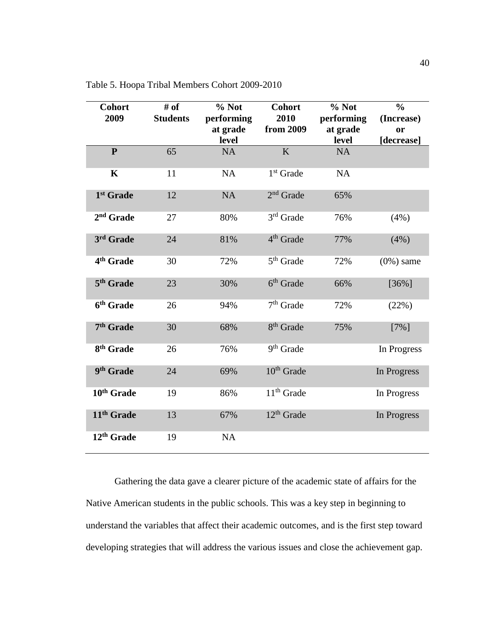| <b>Cohort</b><br>2009  | # of<br><b>Students</b> | % Not<br>performing | <b>Cohort</b><br>2010  | % Not<br>performing | $\frac{0}{0}$<br>(Increase) |
|------------------------|-------------------------|---------------------|------------------------|---------------------|-----------------------------|
|                        |                         | at grade            | from 2009              | at grade            | or                          |
|                        |                         | level               |                        | level               | [decrease]                  |
| $\mathbf{P}$           | 65                      | <b>NA</b>           | K                      | <b>NA</b>           |                             |
| $\mathbf K$            | 11                      | NA                  | $1st$ Grade            | NA                  |                             |
| 1 <sup>st</sup> Grade  | 12                      | NA                  | $2nd$ Grade            | 65%                 |                             |
| 2 <sup>nd</sup> Grade  | 27                      | 80%                 | $3rd$ Grade            | 76%                 | (4%)                        |
| 3rd Grade              | 24                      | 81%                 | 4 <sup>th</sup> Grade  | 77%                 | (4%)                        |
| 4 <sup>th</sup> Grade  | 30                      | 72%                 | $5th$ Grade            | 72%                 | $(0\%)$ same                |
| 5 <sup>th</sup> Grade  | 23                      | 30%                 | $6th$ Grade            | 66%                 | $[36\%]$                    |
| 6 <sup>th</sup> Grade  | 26                      | 94%                 | $7th$ Grade            | 72%                 | (22%)                       |
| 7 <sup>th</sup> Grade  | 30                      | 68%                 | 8 <sup>th</sup> Grade  | 75%                 | $[7\%]$                     |
| 8 <sup>th</sup> Grade  | 26                      | 76%                 | 9 <sup>th</sup> Grade  |                     | In Progress                 |
| 9 <sup>th</sup> Grade  | 24                      | 69%                 | 10 <sup>th</sup> Grade |                     | In Progress                 |
| 10 <sup>th</sup> Grade | 19                      | 86%                 | $11th$ Grade           |                     | In Progress                 |
| 11 <sup>th</sup> Grade | 13                      | 67%                 | $12th$ Grade           |                     | In Progress                 |
| 12 <sup>th</sup> Grade | 19                      | NA                  |                        |                     |                             |

Table 5. Hoopa Tribal Members Cohort 2009-2010

Gathering the data gave a clearer picture of the academic state of affairs for the Native American students in the public schools. This was a key step in beginning to understand the variables that affect their academic outcomes, and is the first step toward developing strategies that will address the various issues and close the achievement gap.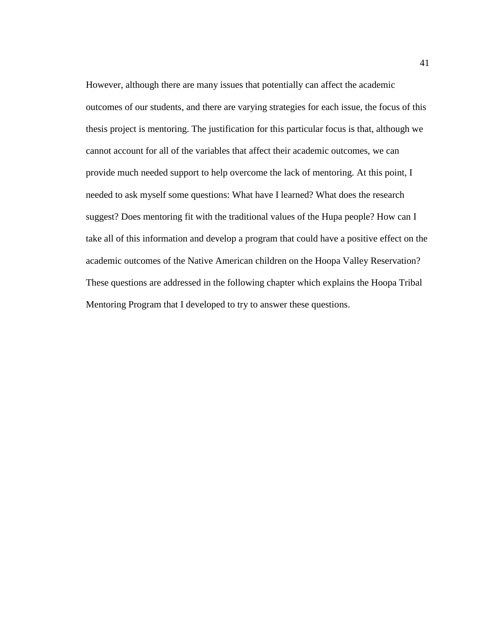However, although there are many issues that potentially can affect the academic outcomes of our students, and there are varying strategies for each issue, the focus of this thesis project is mentoring. The justification for this particular focus is that, although we cannot account for all of the variables that affect their academic outcomes, we can provide much needed support to help overcome the lack of mentoring. At this point, I needed to ask myself some questions: What have I learned? What does the research suggest? Does mentoring fit with the traditional values of the Hupa people? How can I take all of this information and develop a program that could have a positive effect on the academic outcomes of the Native American children on the Hoopa Valley Reservation? These questions are addressed in the following chapter which explains the Hoopa Tribal Mentoring Program that I developed to try to answer these questions.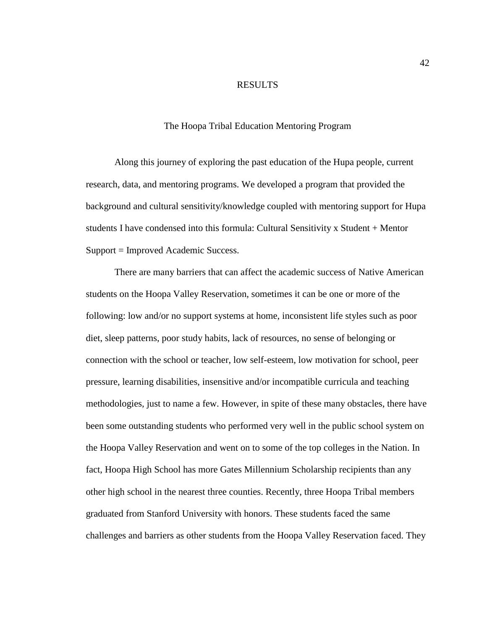#### RESULTS

## The Hoopa Tribal Education Mentoring Program

Along this journey of exploring the past education of the Hupa people, current research, data, and mentoring programs. We developed a program that provided the background and cultural sensitivity/knowledge coupled with mentoring support for Hupa students I have condensed into this formula: Cultural Sensitivity x Student + Mentor Support = Improved Academic Success.

There are many barriers that can affect the academic success of Native American students on the Hoopa Valley Reservation, sometimes it can be one or more of the following: low and/or no support systems at home, inconsistent life styles such as poor diet, sleep patterns, poor study habits, lack of resources, no sense of belonging or connection with the school or teacher, low self-esteem, low motivation for school, peer pressure, learning disabilities, insensitive and/or incompatible curricula and teaching methodologies, just to name a few. However, in spite of these many obstacles, there have been some outstanding students who performed very well in the public school system on the Hoopa Valley Reservation and went on to some of the top colleges in the Nation. In fact, Hoopa High School has more Gates Millennium Scholarship recipients than any other high school in the nearest three counties. Recently, three Hoopa Tribal members graduated from Stanford University with honors. These students faced the same challenges and barriers as other students from the Hoopa Valley Reservation faced. They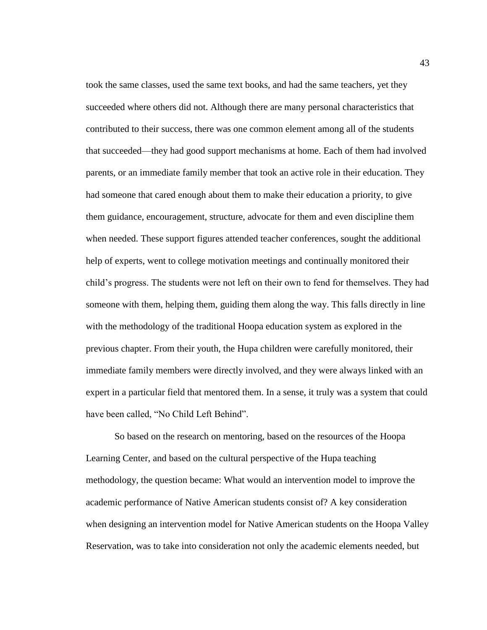took the same classes, used the same text books, and had the same teachers, yet they succeeded where others did not. Although there are many personal characteristics that contributed to their success, there was one common element among all of the students that succeeded—they had good support mechanisms at home. Each of them had involved parents, or an immediate family member that took an active role in their education. They had someone that cared enough about them to make their education a priority, to give them guidance, encouragement, structure, advocate for them and even discipline them when needed. These support figures attended teacher conferences, sought the additional help of experts, went to college motivation meetings and continually monitored their child's progress. The students were not left on their own to fend for themselves. They had someone with them, helping them, guiding them along the way. This falls directly in line with the methodology of the traditional Hoopa education system as explored in the previous chapter. From their youth, the Hupa children were carefully monitored, their immediate family members were directly involved, and they were always linked with an expert in a particular field that mentored them. In a sense, it truly was a system that could have been called, "No Child Left Behind".

So based on the research on mentoring, based on the resources of the Hoopa Learning Center, and based on the cultural perspective of the Hupa teaching methodology, the question became: What would an intervention model to improve the academic performance of Native American students consist of? A key consideration when designing an intervention model for Native American students on the Hoopa Valley Reservation, was to take into consideration not only the academic elements needed, but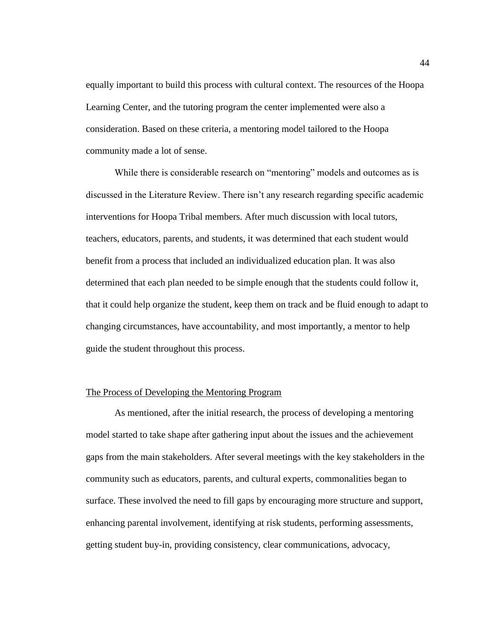equally important to build this process with cultural context. The resources of the Hoopa Learning Center, and the tutoring program the center implemented were also a consideration. Based on these criteria, a mentoring model tailored to the Hoopa community made a lot of sense.

While there is considerable research on "mentoring" models and outcomes as is discussed in the Literature Review. There isn't any research regarding specific academic interventions for Hoopa Tribal members. After much discussion with local tutors, teachers, educators, parents, and students, it was determined that each student would benefit from a process that included an individualized education plan. It was also determined that each plan needed to be simple enough that the students could follow it, that it could help organize the student, keep them on track and be fluid enough to adapt to changing circumstances, have accountability, and most importantly, a mentor to help guide the student throughout this process.

# The Process of Developing the Mentoring Program

As mentioned, after the initial research, the process of developing a mentoring model started to take shape after gathering input about the issues and the achievement gaps from the main stakeholders. After several meetings with the key stakeholders in the community such as educators, parents, and cultural experts, commonalities began to surface. These involved the need to fill gaps by encouraging more structure and support, enhancing parental involvement, identifying at risk students, performing assessments, getting student buy-in, providing consistency, clear communications, advocacy,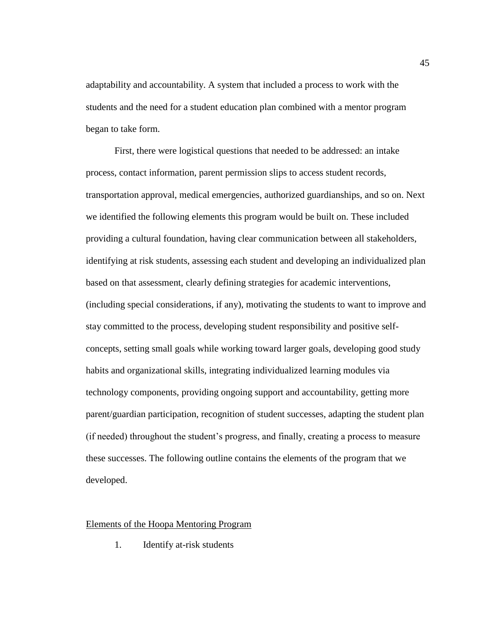adaptability and accountability. A system that included a process to work with the students and the need for a student education plan combined with a mentor program began to take form.

First, there were logistical questions that needed to be addressed: an intake process, contact information, parent permission slips to access student records, transportation approval, medical emergencies, authorized guardianships, and so on. Next we identified the following elements this program would be built on. These included providing a cultural foundation, having clear communication between all stakeholders, identifying at risk students, assessing each student and developing an individualized plan based on that assessment, clearly defining strategies for academic interventions, (including special considerations, if any), motivating the students to want to improve and stay committed to the process, developing student responsibility and positive selfconcepts, setting small goals while working toward larger goals, developing good study habits and organizational skills, integrating individualized learning modules via technology components, providing ongoing support and accountability, getting more parent/guardian participation, recognition of student successes, adapting the student plan (if needed) throughout the student's progress, and finally, creating a process to measure these successes. The following outline contains the elements of the program that we developed.

#### Elements of the Hoopa Mentoring Program

1. Identify at-risk students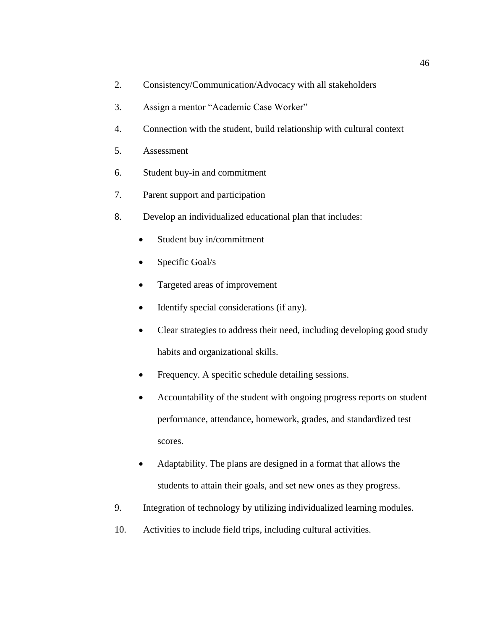- 2. Consistency/Communication/Advocacy with all stakeholders
- 3. Assign a mentor "Academic Case Worker"
- 4. Connection with the student, build relationship with cultural context
- 5. Assessment
- 6. Student buy-in and commitment
- 7. Parent support and participation
- 8. Develop an individualized educational plan that includes:
	- Student buy in/commitment
	- Specific Goal/s
	- Targeted areas of improvement
	- Identify special considerations (if any).
	- Clear strategies to address their need, including developing good study habits and organizational skills.
	- Frequency. A specific schedule detailing sessions.
	- Accountability of the student with ongoing progress reports on student performance, attendance, homework, grades, and standardized test scores.
	- Adaptability. The plans are designed in a format that allows the students to attain their goals, and set new ones as they progress.
- 9. Integration of technology by utilizing individualized learning modules.
- 10. Activities to include field trips, including cultural activities.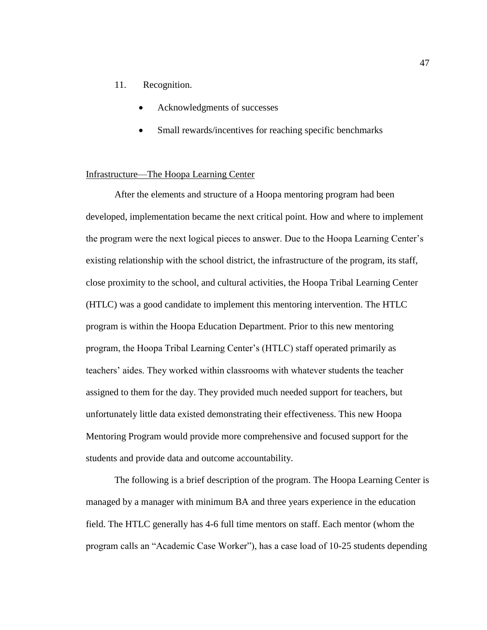## 11. Recognition.

- Acknowledgments of successes
- Small rewards/incentives for reaching specific benchmarks

#### Infrastructure—The Hoopa Learning Center

After the elements and structure of a Hoopa mentoring program had been developed, implementation became the next critical point. How and where to implement the program were the next logical pieces to answer. Due to the Hoopa Learning Center's existing relationship with the school district, the infrastructure of the program, its staff, close proximity to the school, and cultural activities, the Hoopa Tribal Learning Center (HTLC) was a good candidate to implement this mentoring intervention. The HTLC program is within the Hoopa Education Department. Prior to this new mentoring program, the Hoopa Tribal Learning Center's (HTLC) staff operated primarily as teachers' aides. They worked within classrooms with whatever students the teacher assigned to them for the day. They provided much needed support for teachers, but unfortunately little data existed demonstrating their effectiveness. This new Hoopa Mentoring Program would provide more comprehensive and focused support for the students and provide data and outcome accountability.

The following is a brief description of the program. The Hoopa Learning Center is managed by a manager with minimum BA and three years experience in the education field. The HTLC generally has 4-6 full time mentors on staff. Each mentor (whom the program calls an "Academic Case Worker"), has a case load of 10-25 students depending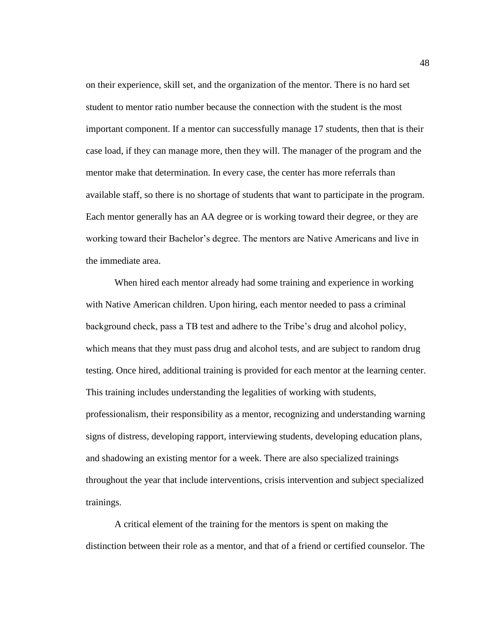on their experience, skill set, and the organization of the mentor. There is no hard set student to mentor ratio number because the connection with the student is the most important component. If a mentor can successfully manage 17 students, then that is their case load, if they can manage more, then they will. The manager of the program and the mentor make that determination. In every case, the center has more referrals than available staff, so there is no shortage of students that want to participate in the program. Each mentor generally has an AA degree or is working toward their degree, or they are working toward their Bachelor's degree. The mentors are Native Americans and live in the immediate area.

When hired each mentor already had some training and experience in working with Native American children. Upon hiring, each mentor needed to pass a criminal background check, pass a TB test and adhere to the Tribe's drug and alcohol policy, which means that they must pass drug and alcohol tests, and are subject to random drug testing. Once hired, additional training is provided for each mentor at the learning center. This training includes understanding the legalities of working with students, professionalism, their responsibility as a mentor, recognizing and understanding warning signs of distress, developing rapport, interviewing students, developing education plans, and shadowing an existing mentor for a week. There are also specialized trainings throughout the year that include interventions, crisis intervention and subject specialized trainings.

A critical element of the training for the mentors is spent on making the distinction between their role as a mentor, and that of a friend or certified counselor. The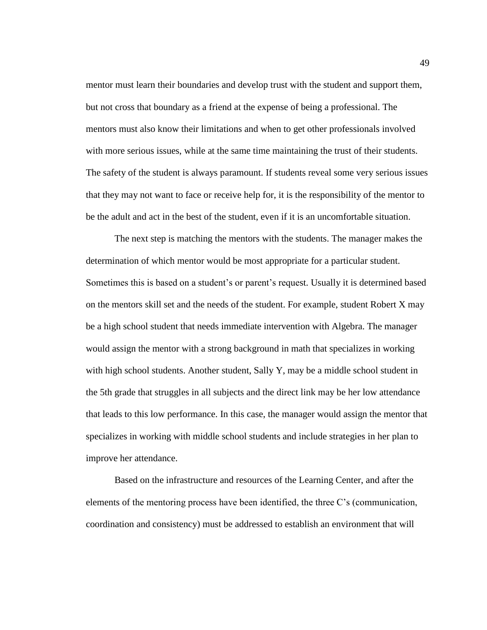mentor must learn their boundaries and develop trust with the student and support them, but not cross that boundary as a friend at the expense of being a professional. The mentors must also know their limitations and when to get other professionals involved with more serious issues, while at the same time maintaining the trust of their students. The safety of the student is always paramount. If students reveal some very serious issues that they may not want to face or receive help for, it is the responsibility of the mentor to be the adult and act in the best of the student, even if it is an uncomfortable situation.

The next step is matching the mentors with the students. The manager makes the determination of which mentor would be most appropriate for a particular student. Sometimes this is based on a student's or parent's request. Usually it is determined based on the mentors skill set and the needs of the student. For example, student Robert X may be a high school student that needs immediate intervention with Algebra. The manager would assign the mentor with a strong background in math that specializes in working with high school students. Another student, Sally Y, may be a middle school student in the 5th grade that struggles in all subjects and the direct link may be her low attendance that leads to this low performance. In this case, the manager would assign the mentor that specializes in working with middle school students and include strategies in her plan to improve her attendance.

Based on the infrastructure and resources of the Learning Center, and after the elements of the mentoring process have been identified, the three C's (communication, coordination and consistency) must be addressed to establish an environment that will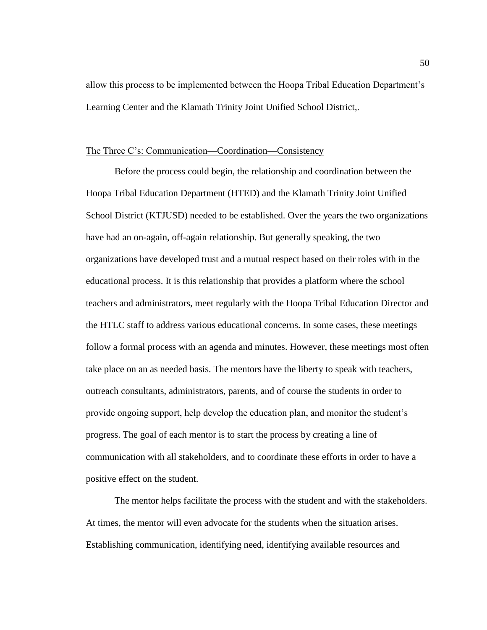allow this process to be implemented between the Hoopa Tribal Education Department's Learning Center and the Klamath Trinity Joint Unified School District,.

#### The Three C's: Communication—Coordination—Consistency

Before the process could begin, the relationship and coordination between the Hoopa Tribal Education Department (HTED) and the Klamath Trinity Joint Unified School District (KTJUSD) needed to be established. Over the years the two organizations have had an on-again, off-again relationship. But generally speaking, the two organizations have developed trust and a mutual respect based on their roles with in the educational process. It is this relationship that provides a platform where the school teachers and administrators, meet regularly with the Hoopa Tribal Education Director and the HTLC staff to address various educational concerns. In some cases, these meetings follow a formal process with an agenda and minutes. However, these meetings most often take place on an as needed basis. The mentors have the liberty to speak with teachers, outreach consultants, administrators, parents, and of course the students in order to provide ongoing support, help develop the education plan, and monitor the student's progress. The goal of each mentor is to start the process by creating a line of communication with all stakeholders, and to coordinate these efforts in order to have a positive effect on the student.

The mentor helps facilitate the process with the student and with the stakeholders. At times, the mentor will even advocate for the students when the situation arises. Establishing communication, identifying need, identifying available resources and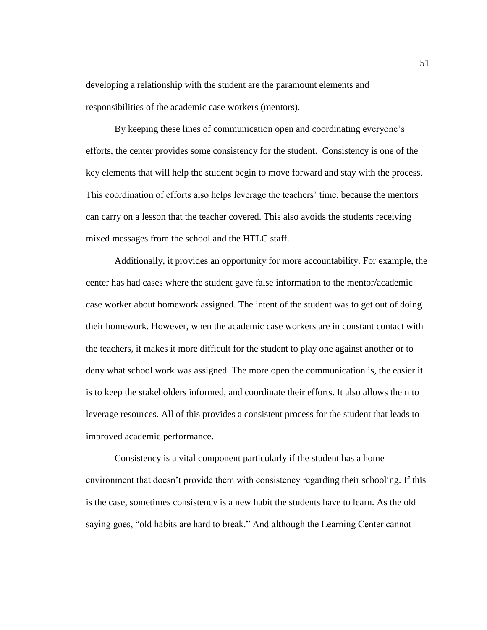developing a relationship with the student are the paramount elements and responsibilities of the academic case workers (mentors).

By keeping these lines of communication open and coordinating everyone's efforts, the center provides some consistency for the student. Consistency is one of the key elements that will help the student begin to move forward and stay with the process. This coordination of efforts also helps leverage the teachers' time, because the mentors can carry on a lesson that the teacher covered. This also avoids the students receiving mixed messages from the school and the HTLC staff.

Additionally, it provides an opportunity for more accountability. For example, the center has had cases where the student gave false information to the mentor/academic case worker about homework assigned. The intent of the student was to get out of doing their homework. However, when the academic case workers are in constant contact with the teachers, it makes it more difficult for the student to play one against another or to deny what school work was assigned. The more open the communication is, the easier it is to keep the stakeholders informed, and coordinate their efforts. It also allows them to leverage resources. All of this provides a consistent process for the student that leads to improved academic performance.

Consistency is a vital component particularly if the student has a home environment that doesn't provide them with consistency regarding their schooling. If this is the case, sometimes consistency is a new habit the students have to learn. As the old saying goes, "old habits are hard to break." And although the Learning Center cannot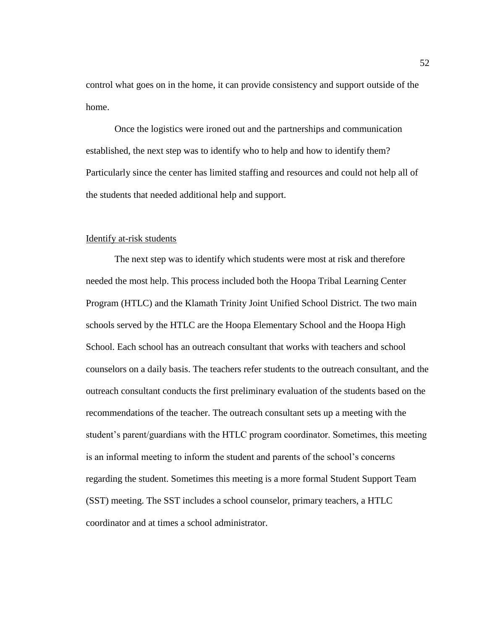control what goes on in the home, it can provide consistency and support outside of the home.

Once the logistics were ironed out and the partnerships and communication established, the next step was to identify who to help and how to identify them? Particularly since the center has limited staffing and resources and could not help all of the students that needed additional help and support.

#### Identify at-risk students

The next step was to identify which students were most at risk and therefore needed the most help. This process included both the Hoopa Tribal Learning Center Program (HTLC) and the Klamath Trinity Joint Unified School District. The two main schools served by the HTLC are the Hoopa Elementary School and the Hoopa High School. Each school has an outreach consultant that works with teachers and school counselors on a daily basis. The teachers refer students to the outreach consultant, and the outreach consultant conducts the first preliminary evaluation of the students based on the recommendations of the teacher. The outreach consultant sets up a meeting with the student's parent/guardians with the HTLC program coordinator. Sometimes, this meeting is an informal meeting to inform the student and parents of the school's concerns regarding the student. Sometimes this meeting is a more formal Student Support Team (SST) meeting. The SST includes a school counselor, primary teachers, a HTLC coordinator and at times a school administrator.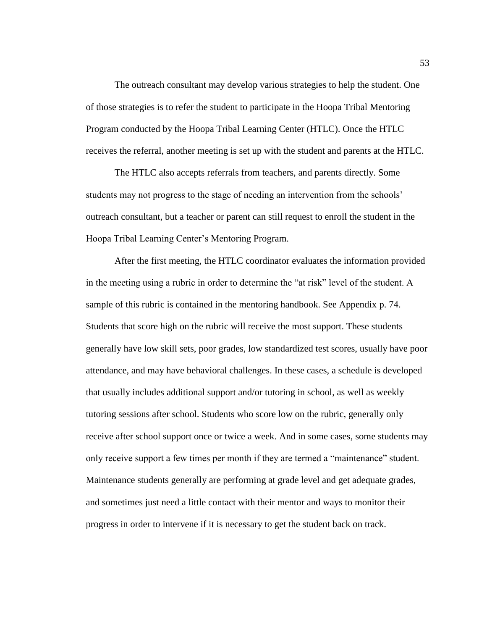The outreach consultant may develop various strategies to help the student. One of those strategies is to refer the student to participate in the Hoopa Tribal Mentoring Program conducted by the Hoopa Tribal Learning Center (HTLC). Once the HTLC receives the referral, another meeting is set up with the student and parents at the HTLC.

The HTLC also accepts referrals from teachers, and parents directly. Some students may not progress to the stage of needing an intervention from the schools' outreach consultant, but a teacher or parent can still request to enroll the student in the Hoopa Tribal Learning Center's Mentoring Program.

After the first meeting, the HTLC coordinator evaluates the information provided in the meeting using a rubric in order to determine the "at risk" level of the student. A sample of this rubric is contained in the mentoring handbook. See Appendix p. 74. Students that score high on the rubric will receive the most support. These students generally have low skill sets, poor grades, low standardized test scores, usually have poor attendance, and may have behavioral challenges. In these cases, a schedule is developed that usually includes additional support and/or tutoring in school, as well as weekly tutoring sessions after school. Students who score low on the rubric, generally only receive after school support once or twice a week. And in some cases, some students may only receive support a few times per month if they are termed a "maintenance" student. Maintenance students generally are performing at grade level and get adequate grades, and sometimes just need a little contact with their mentor and ways to monitor their progress in order to intervene if it is necessary to get the student back on track.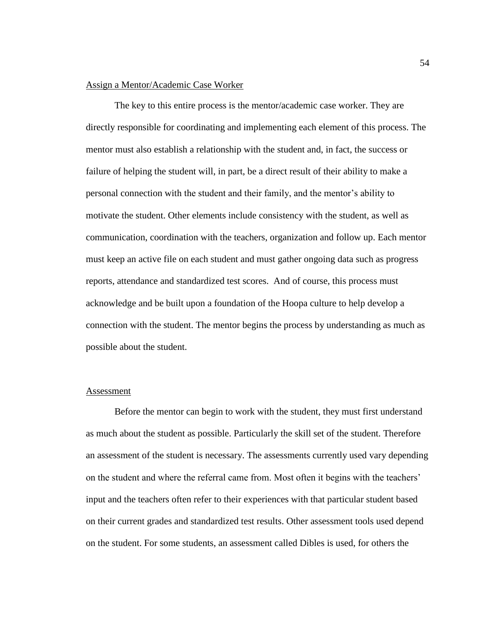#### Assign a Mentor/Academic Case Worker

The key to this entire process is the mentor/academic case worker. They are directly responsible for coordinating and implementing each element of this process. The mentor must also establish a relationship with the student and, in fact, the success or failure of helping the student will, in part, be a direct result of their ability to make a personal connection with the student and their family, and the mentor's ability to motivate the student. Other elements include consistency with the student, as well as communication, coordination with the teachers, organization and follow up. Each mentor must keep an active file on each student and must gather ongoing data such as progress reports, attendance and standardized test scores. And of course, this process must acknowledge and be built upon a foundation of the Hoopa culture to help develop a connection with the student. The mentor begins the process by understanding as much as possible about the student.

# Assessment

Before the mentor can begin to work with the student, they must first understand as much about the student as possible. Particularly the skill set of the student. Therefore an assessment of the student is necessary. The assessments currently used vary depending on the student and where the referral came from. Most often it begins with the teachers' input and the teachers often refer to their experiences with that particular student based on their current grades and standardized test results. Other assessment tools used depend on the student. For some students, an assessment called Dibles is used, for others the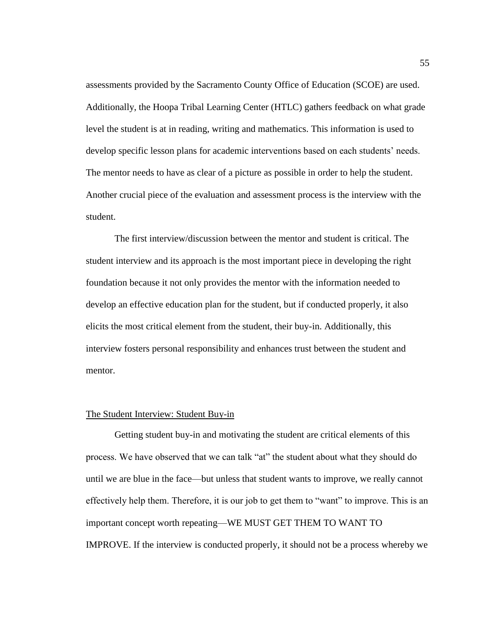assessments provided by the Sacramento County Office of Education (SCOE) are used. Additionally, the Hoopa Tribal Learning Center (HTLC) gathers feedback on what grade level the student is at in reading, writing and mathematics. This information is used to develop specific lesson plans for academic interventions based on each students' needs. The mentor needs to have as clear of a picture as possible in order to help the student. Another crucial piece of the evaluation and assessment process is the interview with the student.

The first interview/discussion between the mentor and student is critical. The student interview and its approach is the most important piece in developing the right foundation because it not only provides the mentor with the information needed to develop an effective education plan for the student, but if conducted properly, it also elicits the most critical element from the student, their buy-in. Additionally, this interview fosters personal responsibility and enhances trust between the student and mentor.

# The Student Interview: Student Buy-in

Getting student buy-in and motivating the student are critical elements of this process. We have observed that we can talk "at" the student about what they should do until we are blue in the face—but unless that student wants to improve, we really cannot effectively help them. Therefore, it is our job to get them to "want" to improve. This is an important concept worth repeating—WE MUST GET THEM TO WANT TO IMPROVE. If the interview is conducted properly, it should not be a process whereby we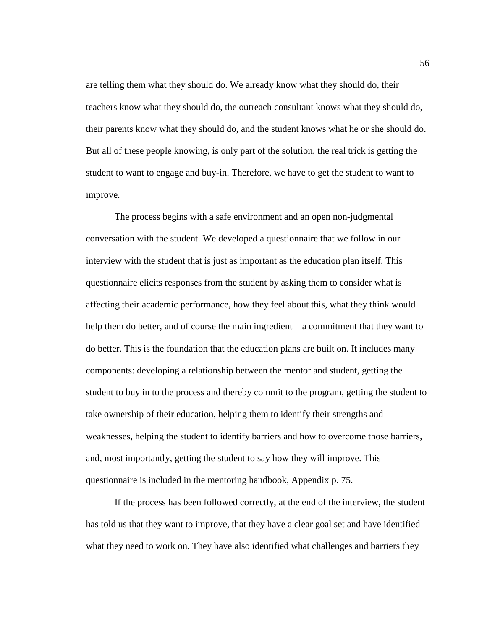are telling them what they should do. We already know what they should do, their teachers know what they should do, the outreach consultant knows what they should do, their parents know what they should do, and the student knows what he or she should do. But all of these people knowing, is only part of the solution, the real trick is getting the student to want to engage and buy-in. Therefore, we have to get the student to want to improve.

The process begins with a safe environment and an open non-judgmental conversation with the student. We developed a questionnaire that we follow in our interview with the student that is just as important as the education plan itself. This questionnaire elicits responses from the student by asking them to consider what is affecting their academic performance, how they feel about this, what they think would help them do better, and of course the main ingredient—a commitment that they want to do better. This is the foundation that the education plans are built on. It includes many components: developing a relationship between the mentor and student, getting the student to buy in to the process and thereby commit to the program, getting the student to take ownership of their education, helping them to identify their strengths and weaknesses, helping the student to identify barriers and how to overcome those barriers, and, most importantly, getting the student to say how they will improve. This questionnaire is included in the mentoring handbook, Appendix p. 75.

If the process has been followed correctly, at the end of the interview, the student has told us that they want to improve, that they have a clear goal set and have identified what they need to work on. They have also identified what challenges and barriers they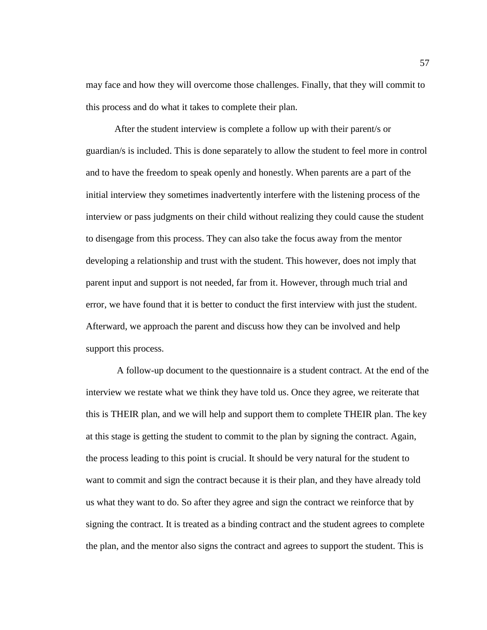may face and how they will overcome those challenges. Finally, that they will commit to this process and do what it takes to complete their plan.

After the student interview is complete a follow up with their parent/s or guardian/s is included. This is done separately to allow the student to feel more in control and to have the freedom to speak openly and honestly. When parents are a part of the initial interview they sometimes inadvertently interfere with the listening process of the interview or pass judgments on their child without realizing they could cause the student to disengage from this process. They can also take the focus away from the mentor developing a relationship and trust with the student. This however, does not imply that parent input and support is not needed, far from it. However, through much trial and error, we have found that it is better to conduct the first interview with just the student. Afterward, we approach the parent and discuss how they can be involved and help support this process.

A follow-up document to the questionnaire is a student contract. At the end of the interview we restate what we think they have told us. Once they agree, we reiterate that this is THEIR plan, and we will help and support them to complete THEIR plan. The key at this stage is getting the student to commit to the plan by signing the contract. Again, the process leading to this point is crucial. It should be very natural for the student to want to commit and sign the contract because it is their plan, and they have already told us what they want to do. So after they agree and sign the contract we reinforce that by signing the contract. It is treated as a binding contract and the student agrees to complete the plan, and the mentor also signs the contract and agrees to support the student. This is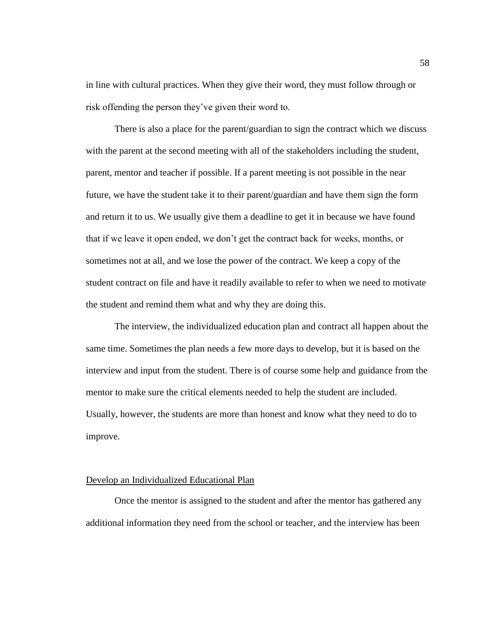in line with cultural practices. When they give their word, they must follow through or risk offending the person they've given their word to.

There is also a place for the parent/guardian to sign the contract which we discuss with the parent at the second meeting with all of the stakeholders including the student, parent, mentor and teacher if possible. If a parent meeting is not possible in the near future, we have the student take it to their parent/guardian and have them sign the form and return it to us. We usually give them a deadline to get it in because we have found that if we leave it open ended, we don't get the contract back for weeks, months, or sometimes not at all, and we lose the power of the contract. We keep a copy of the student contract on file and have it readily available to refer to when we need to motivate the student and remind them what and why they are doing this.

The interview, the individualized education plan and contract all happen about the same time. Sometimes the plan needs a few more days to develop, but it is based on the interview and input from the student. There is of course some help and guidance from the mentor to make sure the critical elements needed to help the student are included. Usually, however, the students are more than honest and know what they need to do to improve.

#### Develop an Individualized Educational Plan

Once the mentor is assigned to the student and after the mentor has gathered any additional information they need from the school or teacher, and the interview has been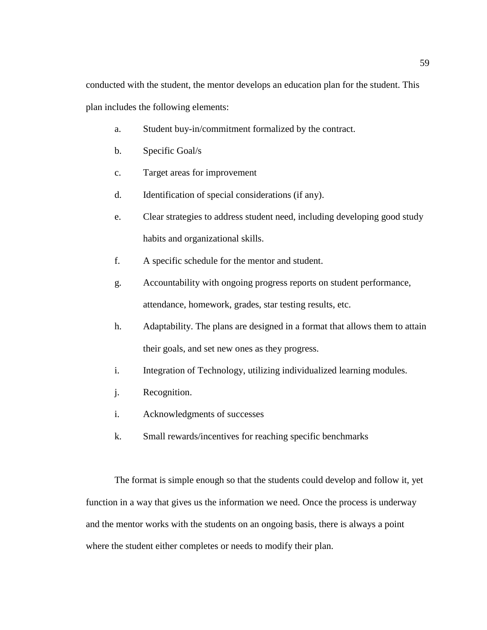conducted with the student, the mentor develops an education plan for the student. This plan includes the following elements:

- a. Student buy-in/commitment formalized by the contract.
- b. Specific Goal/s
- c. Target areas for improvement
- d. Identification of special considerations (if any).
- e. Clear strategies to address student need, including developing good study habits and organizational skills.
- f. A specific schedule for the mentor and student.
- g. Accountability with ongoing progress reports on student performance, attendance, homework, grades, star testing results, etc.
- h. Adaptability. The plans are designed in a format that allows them to attain their goals, and set new ones as they progress.
- i. Integration of Technology, utilizing individualized learning modules.
- j. Recognition.
- i. Acknowledgments of successes
- k. Small rewards/incentives for reaching specific benchmarks

The format is simple enough so that the students could develop and follow it, yet function in a way that gives us the information we need. Once the process is underway and the mentor works with the students on an ongoing basis, there is always a point where the student either completes or needs to modify their plan.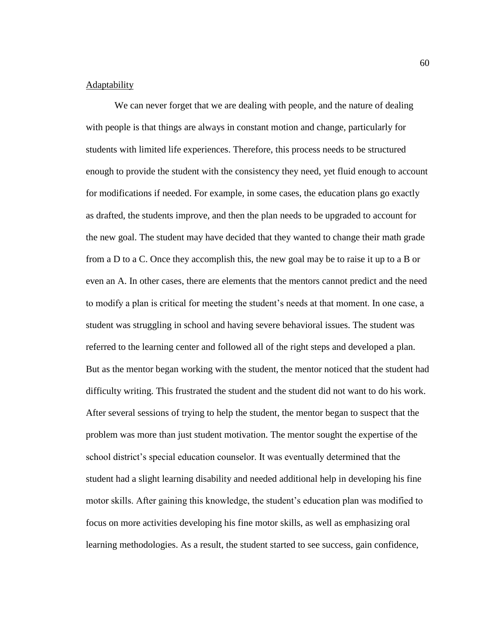# **Adaptability**

We can never forget that we are dealing with people, and the nature of dealing with people is that things are always in constant motion and change, particularly for students with limited life experiences. Therefore, this process needs to be structured enough to provide the student with the consistency they need, yet fluid enough to account for modifications if needed. For example, in some cases, the education plans go exactly as drafted, the students improve, and then the plan needs to be upgraded to account for the new goal. The student may have decided that they wanted to change their math grade from a D to a C. Once they accomplish this, the new goal may be to raise it up to a B or even an A. In other cases, there are elements that the mentors cannot predict and the need to modify a plan is critical for meeting the student's needs at that moment. In one case, a student was struggling in school and having severe behavioral issues. The student was referred to the learning center and followed all of the right steps and developed a plan. But as the mentor began working with the student, the mentor noticed that the student had difficulty writing. This frustrated the student and the student did not want to do his work. After several sessions of trying to help the student, the mentor began to suspect that the problem was more than just student motivation. The mentor sought the expertise of the school district's special education counselor. It was eventually determined that the student had a slight learning disability and needed additional help in developing his fine motor skills. After gaining this knowledge, the student's education plan was modified to focus on more activities developing his fine motor skills, as well as emphasizing oral learning methodologies. As a result, the student started to see success, gain confidence,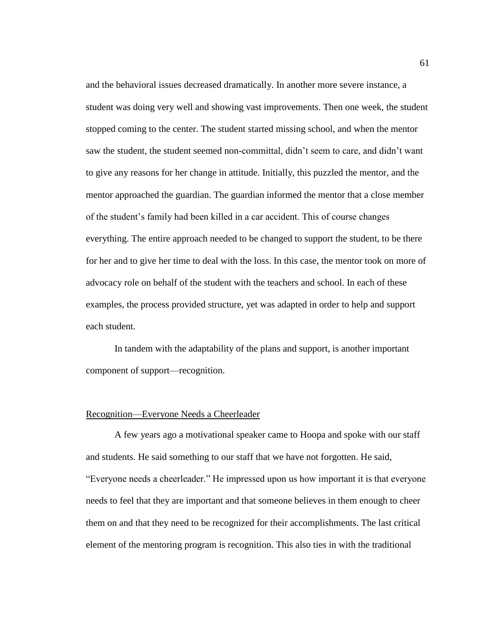and the behavioral issues decreased dramatically. In another more severe instance, a student was doing very well and showing vast improvements. Then one week, the student stopped coming to the center. The student started missing school, and when the mentor saw the student, the student seemed non-committal, didn't seem to care, and didn't want to give any reasons for her change in attitude. Initially, this puzzled the mentor, and the mentor approached the guardian. The guardian informed the mentor that a close member of the student's family had been killed in a car accident. This of course changes everything. The entire approach needed to be changed to support the student, to be there for her and to give her time to deal with the loss. In this case, the mentor took on more of advocacy role on behalf of the student with the teachers and school. In each of these examples, the process provided structure, yet was adapted in order to help and support each student.

In tandem with the adaptability of the plans and support, is another important component of support—recognition.

#### Recognition—Everyone Needs a Cheerleader

A few years ago a motivational speaker came to Hoopa and spoke with our staff and students. He said something to our staff that we have not forgotten. He said, "Everyone needs a cheerleader." He impressed upon us how important it is that everyone needs to feel that they are important and that someone believes in them enough to cheer them on and that they need to be recognized for their accomplishments. The last critical element of the mentoring program is recognition. This also ties in with the traditional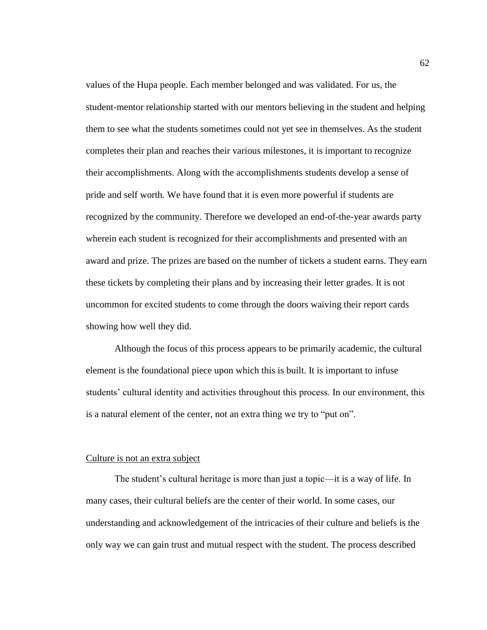values of the Hupa people. Each member belonged and was validated. For us, the student-mentor relationship started with our mentors believing in the student and helping them to see what the students sometimes could not yet see in themselves. As the student completes their plan and reaches their various milestones, it is important to recognize their accomplishments. Along with the accomplishments students develop a sense of pride and self worth. We have found that it is even more powerful if students are recognized by the community. Therefore we developed an end-of-the-year awards party wherein each student is recognized for their accomplishments and presented with an award and prize. The prizes are based on the number of tickets a student earns. They earn these tickets by completing their plans and by increasing their letter grades. It is not uncommon for excited students to come through the doors waiving their report cards showing how well they did.

Although the focus of this process appears to be primarily academic, the cultural element is the foundational piece upon which this is built. It is important to infuse students' cultural identity and activities throughout this process. In our environment, this is a natural element of the center, not an extra thing we try to "put on".

#### Culture is not an extra subject

The student's cultural heritage is more than just a topic—it is a way of life. In many cases, their cultural beliefs are the center of their world. In some cases, our understanding and acknowledgement of the intricacies of their culture and beliefs is the only way we can gain trust and mutual respect with the student. The process described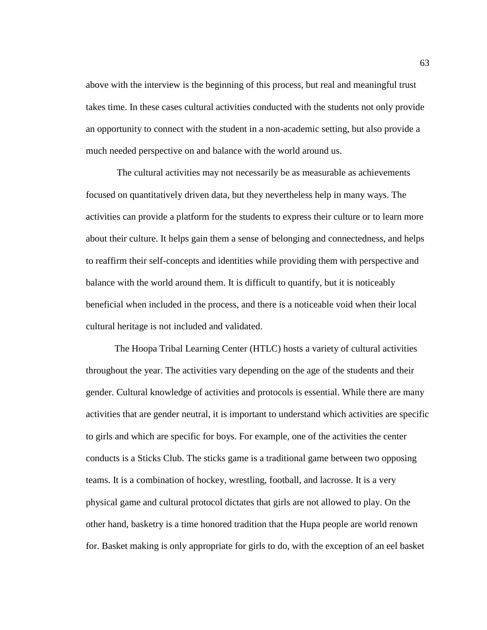above with the interview is the beginning of this process, but real and meaningful trust takes time. In these cases cultural activities conducted with the students not only provide an opportunity to connect with the student in a non-academic setting, but also provide a much needed perspective on and balance with the world around us.

The cultural activities may not necessarily be as measurable as achievements focused on quantitatively driven data, but they nevertheless help in many ways. The activities can provide a platform for the students to express their culture or to learn more about their culture. It helps gain them a sense of belonging and connectedness, and helps to reaffirm their self-concepts and identities while providing them with perspective and balance with the world around them. It is difficult to quantify, but it is noticeably beneficial when included in the process, and there is a noticeable void when their local cultural heritage is not included and validated.

The Hoopa Tribal Learning Center (HTLC) hosts a variety of cultural activities throughout the year. The activities vary depending on the age of the students and their gender. Cultural knowledge of activities and protocols is essential. While there are many activities that are gender neutral, it is important to understand which activities are specific to girls and which are specific for boys. For example, one of the activities the center conducts is a Sticks Club. The sticks game is a traditional game between two opposing teams. It is a combination of hockey, wrestling, football, and lacrosse. It is a very physical game and cultural protocol dictates that girls are not allowed to play. On the other hand, basketry is a time honored tradition that the Hupa people are world renown for. Basket making is only appropriate for girls to do, with the exception of an eel basket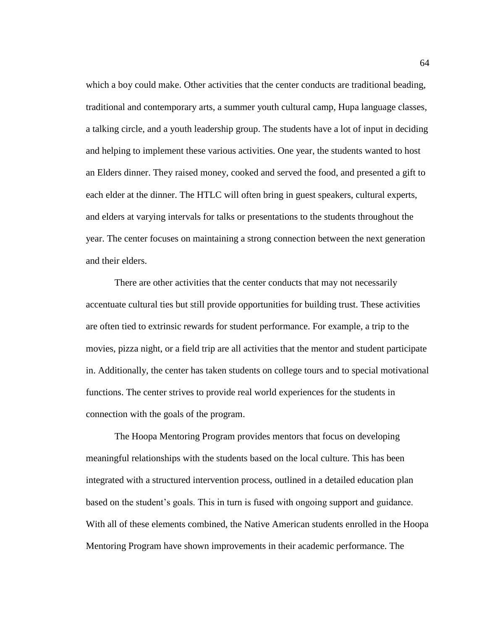which a boy could make. Other activities that the center conducts are traditional beading, traditional and contemporary arts, a summer youth cultural camp, Hupa language classes, a talking circle, and a youth leadership group. The students have a lot of input in deciding and helping to implement these various activities. One year, the students wanted to host an Elders dinner. They raised money, cooked and served the food, and presented a gift to each elder at the dinner. The HTLC will often bring in guest speakers, cultural experts, and elders at varying intervals for talks or presentations to the students throughout the year. The center focuses on maintaining a strong connection between the next generation and their elders.

There are other activities that the center conducts that may not necessarily accentuate cultural ties but still provide opportunities for building trust. These activities are often tied to extrinsic rewards for student performance. For example, a trip to the movies, pizza night, or a field trip are all activities that the mentor and student participate in. Additionally, the center has taken students on college tours and to special motivational functions. The center strives to provide real world experiences for the students in connection with the goals of the program.

The Hoopa Mentoring Program provides mentors that focus on developing meaningful relationships with the students based on the local culture. This has been integrated with a structured intervention process, outlined in a detailed education plan based on the student's goals. This in turn is fused with ongoing support and guidance. With all of these elements combined, the Native American students enrolled in the Hoopa Mentoring Program have shown improvements in their academic performance. The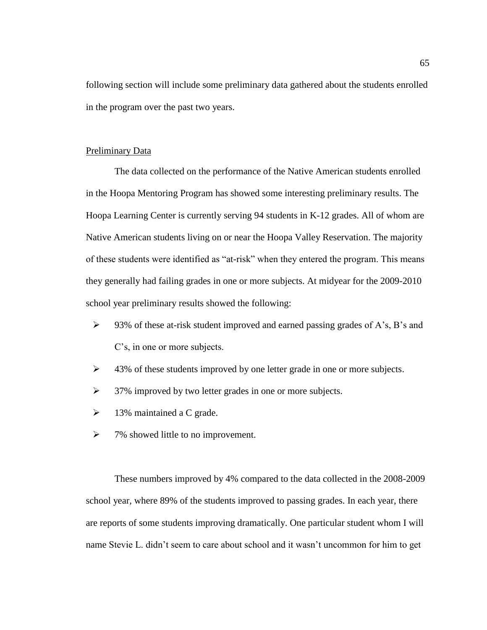following section will include some preliminary data gathered about the students enrolled in the program over the past two years.

#### Preliminary Data

The data collected on the performance of the Native American students enrolled in the Hoopa Mentoring Program has showed some interesting preliminary results. The Hoopa Learning Center is currently serving 94 students in K-12 grades. All of whom are Native American students living on or near the Hoopa Valley Reservation. The majority of these students were identified as "at-risk" when they entered the program. This means they generally had failing grades in one or more subjects. At midyear for the 2009-2010 school year preliminary results showed the following:

- $\triangleright$  93% of these at-risk student improved and earned passing grades of A's, B's and C's, in one or more subjects.
- ➢ 43% of these students improved by one letter grade in one or more subjects.
- ➢ 37% improved by two letter grades in one or more subjects.
- $\triangleright$  13% maintained a C grade.
- $\triangleright$  7% showed little to no improvement.

These numbers improved by 4% compared to the data collected in the 2008-2009 school year, where 89% of the students improved to passing grades. In each year, there are reports of some students improving dramatically. One particular student whom I will name Stevie L. didn't seem to care about school and it wasn't uncommon for him to get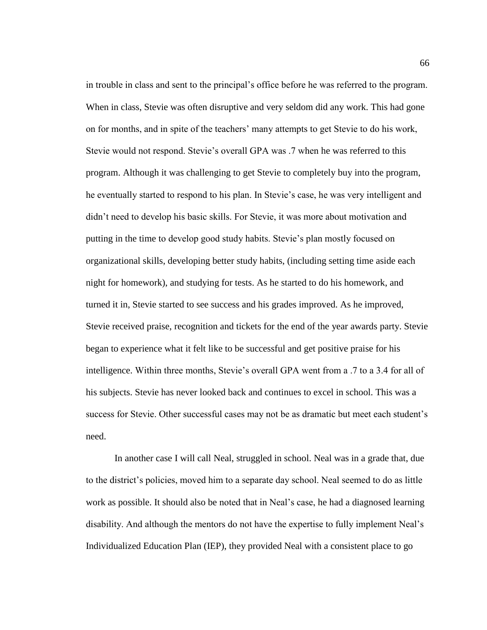in trouble in class and sent to the principal's office before he was referred to the program. When in class, Stevie was often disruptive and very seldom did any work. This had gone on for months, and in spite of the teachers' many attempts to get Stevie to do his work, Stevie would not respond. Stevie's overall GPA was .7 when he was referred to this program. Although it was challenging to get Stevie to completely buy into the program, he eventually started to respond to his plan. In Stevie's case, he was very intelligent and didn't need to develop his basic skills. For Stevie, it was more about motivation and putting in the time to develop good study habits. Stevie's plan mostly focused on organizational skills, developing better study habits, (including setting time aside each night for homework), and studying for tests. As he started to do his homework, and turned it in, Stevie started to see success and his grades improved. As he improved, Stevie received praise, recognition and tickets for the end of the year awards party. Stevie began to experience what it felt like to be successful and get positive praise for his intelligence. Within three months, Stevie's overall GPA went from a .7 to a 3.4 for all of his subjects. Stevie has never looked back and continues to excel in school. This was a success for Stevie. Other successful cases may not be as dramatic but meet each student's need.

In another case I will call Neal, struggled in school. Neal was in a grade that, due to the district's policies, moved him to a separate day school. Neal seemed to do as little work as possible. It should also be noted that in Neal's case, he had a diagnosed learning disability. And although the mentors do not have the expertise to fully implement Neal's Individualized Education Plan (IEP), they provided Neal with a consistent place to go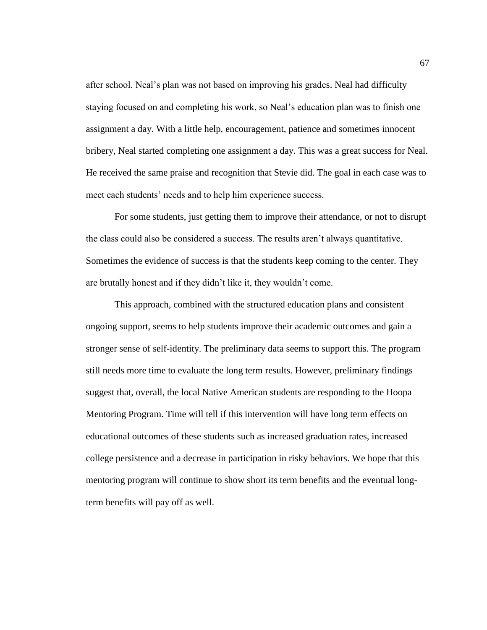after school. Neal's plan was not based on improving his grades. Neal had difficulty staying focused on and completing his work, so Neal's education plan was to finish one assignment a day. With a little help, encouragement, patience and sometimes innocent bribery, Neal started completing one assignment a day. This was a great success for Neal. He received the same praise and recognition that Stevie did. The goal in each case was to meet each students' needs and to help him experience success.

For some students, just getting them to improve their attendance, or not to disrupt the class could also be considered a success. The results aren't always quantitative. Sometimes the evidence of success is that the students keep coming to the center. They are brutally honest and if they didn't like it, they wouldn't come.

This approach, combined with the structured education plans and consistent ongoing support, seems to help students improve their academic outcomes and gain a stronger sense of self-identity. The preliminary data seems to support this. The program still needs more time to evaluate the long term results. However, preliminary findings suggest that, overall, the local Native American students are responding to the Hoopa Mentoring Program. Time will tell if this intervention will have long term effects on educational outcomes of these students such as increased graduation rates, increased college persistence and a decrease in participation in risky behaviors. We hope that this mentoring program will continue to show short its term benefits and the eventual longterm benefits will pay off as well.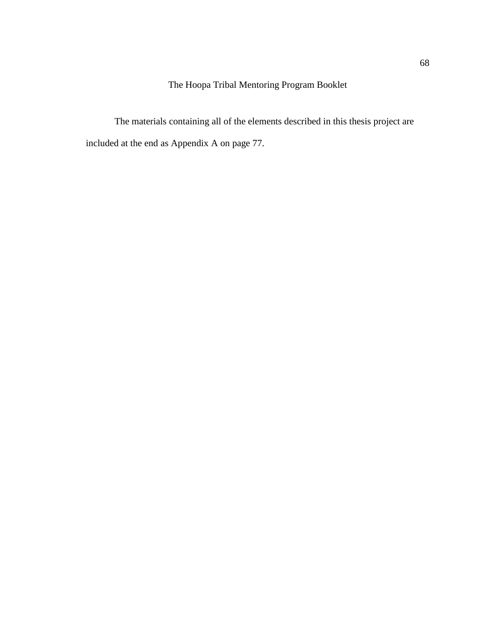The Hoopa Tribal Mentoring Program Booklet

The materials containing all of the elements described in this thesis project are included at the end as Appendix A on page 77.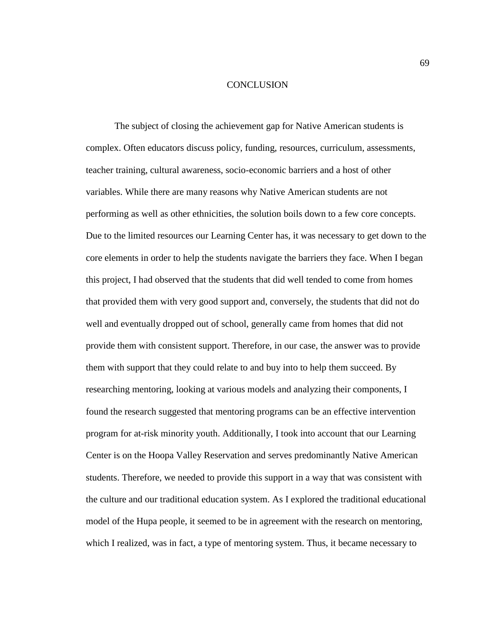#### **CONCLUSION**

The subject of closing the achievement gap for Native American students is complex. Often educators discuss policy, funding, resources, curriculum, assessments, teacher training, cultural awareness, socio-economic barriers and a host of other variables. While there are many reasons why Native American students are not performing as well as other ethnicities, the solution boils down to a few core concepts. Due to the limited resources our Learning Center has, it was necessary to get down to the core elements in order to help the students navigate the barriers they face. When I began this project, I had observed that the students that did well tended to come from homes that provided them with very good support and, conversely, the students that did not do well and eventually dropped out of school, generally came from homes that did not provide them with consistent support. Therefore, in our case, the answer was to provide them with support that they could relate to and buy into to help them succeed. By researching mentoring, looking at various models and analyzing their components, I found the research suggested that mentoring programs can be an effective intervention program for at-risk minority youth. Additionally, I took into account that our Learning Center is on the Hoopa Valley Reservation and serves predominantly Native American students. Therefore, we needed to provide this support in a way that was consistent with the culture and our traditional education system. As I explored the traditional educational model of the Hupa people, it seemed to be in agreement with the research on mentoring, which I realized, was in fact, a type of mentoring system. Thus, it became necessary to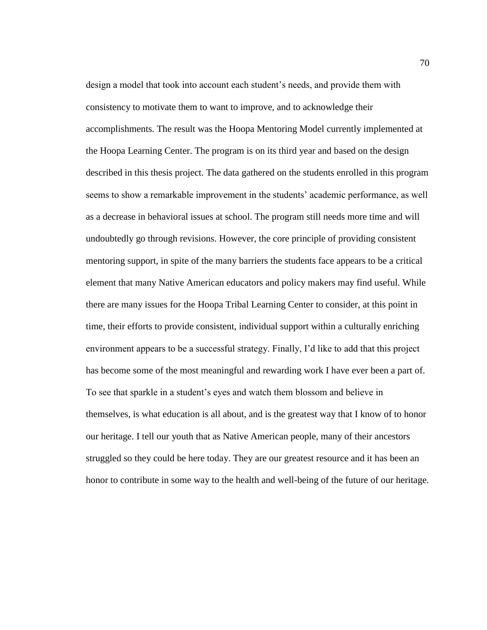design a model that took into account each student's needs, and provide them with consistency to motivate them to want to improve, and to acknowledge their accomplishments. The result was the Hoopa Mentoring Model currently implemented at the Hoopa Learning Center. The program is on its third year and based on the design described in this thesis project. The data gathered on the students enrolled in this program seems to show a remarkable improvement in the students' academic performance, as well as a decrease in behavioral issues at school. The program still needs more time and will undoubtedly go through revisions. However, the core principle of providing consistent mentoring support, in spite of the many barriers the students face appears to be a critical element that many Native American educators and policy makers may find useful. While there are many issues for the Hoopa Tribal Learning Center to consider, at this point in time, their efforts to provide consistent, individual support within a culturally enriching environment appears to be a successful strategy. Finally, I'd like to add that this project has become some of the most meaningful and rewarding work I have ever been a part of. To see that sparkle in a student's eyes and watch them blossom and believe in themselves, is what education is all about, and is the greatest way that I know of to honor our heritage. I tell our youth that as Native American people, many of their ancestors struggled so they could be here today. They are our greatest resource and it has been an honor to contribute in some way to the health and well-being of the future of our heritage.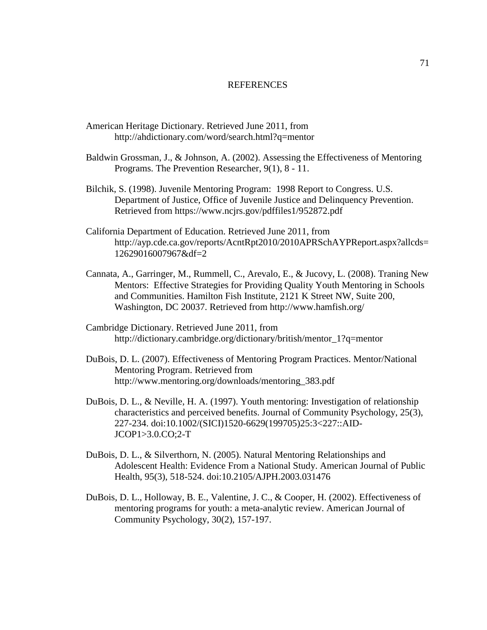#### REFERENCES

- American Heritage Dictionary. Retrieved June 2011, from http://ahdictionary.com/word/search.html?q=mentor
- Baldwin Grossman, J., & Johnson, A. (2002). Assessing the Effectiveness of Mentoring Programs. The Prevention Researcher, 9(1), 8 - 11.
- Bilchik, S. (1998). Juvenile Mentoring Program: 1998 Report to Congress. U.S. Department of Justice, Office of Juvenile Justice and Delinquency Prevention. Retrieved from https://www.ncjrs.gov/pdffiles1/952872.pdf
- California Department of Education. Retrieved June 2011, from http://ayp.cde.ca.gov/reports/AcntRpt2010/2010APRSchAYPReport.aspx?allcds= 12629016007967&df=2
- Cannata, A., Garringer, M., Rummell, C., Arevalo, E., & Jucovy, L. (2008). Traning New Mentors: Effective Strategies for Providing Quality Youth Mentoring in Schools and Communities. Hamilton Fish Institute, 2121 K Street NW, Suite 200, Washington, DC 20037. Retrieved from http://www.hamfish.org/
- Cambridge Dictionary. Retrieved June 2011, from http://dictionary.cambridge.org/dictionary/british/mentor\_1?q=mentor
- DuBois, D. L. (2007). Effectiveness of Mentoring Program Practices. Mentor/National Mentoring Program. Retrieved from http://www.mentoring.org/downloads/mentoring\_383.pdf
- DuBois, D. L., & Neville, H. A. (1997). Youth mentoring: Investigation of relationship characteristics and perceived benefits. Journal of Community Psychology, 25(3), 227-234. doi:10.1002/(SICI)1520-6629(199705)25:3<227::AID-JCOP1>3.0.CO;2-T
- DuBois, D. L., & Silverthorn, N. (2005). Natural Mentoring Relationships and Adolescent Health: Evidence From a National Study. American Journal of Public Health, 95(3), 518-524. doi:10.2105/AJPH.2003.031476
- DuBois, D. L., Holloway, B. E., Valentine, J. C., & Cooper, H. (2002). Effectiveness of mentoring programs for youth: a meta-analytic review. American Journal of Community Psychology, 30(2), 157-197.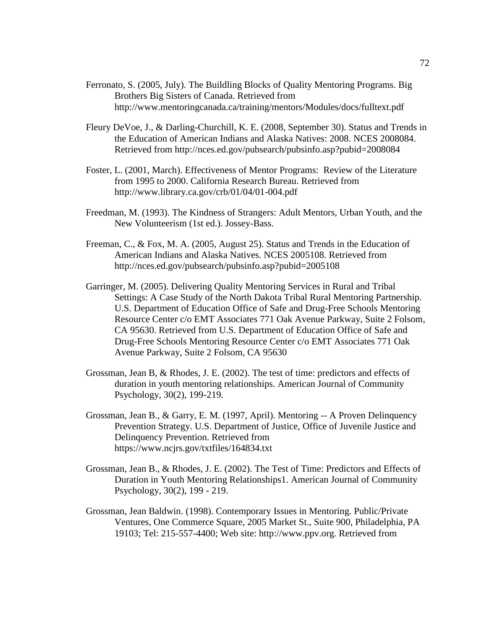- Ferronato, S. (2005, July). The Buildling Blocks of Quality Mentoring Programs. Big Brothers Big Sisters of Canada. Retrieved from http://www.mentoringcanada.ca/training/mentors/Modules/docs/fulltext.pdf
- Fleury DeVoe, J., & Darling-Churchill, K. E. (2008, September 30). Status and Trends in the Education of American Indians and Alaska Natives: 2008. NCES 2008084. Retrieved from http://nces.ed.gov/pubsearch/pubsinfo.asp?pubid=2008084
- Foster, L. (2001, March). Effectiveness of Mentor Programs: Review of the Literature from 1995 to 2000. California Research Bureau. Retrieved from http://www.library.ca.gov/crb/01/04/01-004.pdf
- Freedman, M. (1993). The Kindness of Strangers: Adult Mentors, Urban Youth, and the New Volunteerism (1st ed.). Jossey-Bass.
- Freeman, C., & Fox, M. A. (2005, August 25). Status and Trends in the Education of American Indians and Alaska Natives. NCES 2005108. Retrieved from http://nces.ed.gov/pubsearch/pubsinfo.asp?pubid=2005108
- Garringer, M. (2005). Delivering Quality Mentoring Services in Rural and Tribal Settings: A Case Study of the North Dakota Tribal Rural Mentoring Partnership. U.S. Department of Education Office of Safe and Drug-Free Schools Mentoring Resource Center c/o EMT Associates 771 Oak Avenue Parkway, Suite 2 Folsom, CA 95630. Retrieved from U.S. Department of Education Office of Safe and Drug-Free Schools Mentoring Resource Center c/o EMT Associates 771 Oak Avenue Parkway, Suite 2 Folsom, CA 95630
- Grossman, Jean B, & Rhodes, J. E. (2002). The test of time: predictors and effects of duration in youth mentoring relationships. American Journal of Community Psychology, 30(2), 199-219.
- Grossman, Jean B., & Garry, E. M. (1997, April). Mentoring -- A Proven Delinquency Prevention Strategy. U.S. Department of Justice, Office of Juvenile Justice and Delinquency Prevention. Retrieved from https://www.ncjrs.gov/txtfiles/164834.txt
- Grossman, Jean B., & Rhodes, J. E. (2002). The Test of Time: Predictors and Effects of Duration in Youth Mentoring Relationships1. American Journal of Community Psychology, 30(2), 199 - 219.
- Grossman, Jean Baldwin. (1998). Contemporary Issues in Mentoring. Public/Private Ventures, One Commerce Square, 2005 Market St., Suite 900, Philadelphia, PA 19103; Tel: 215-557-4400; Web site: http://www.ppv.org. Retrieved from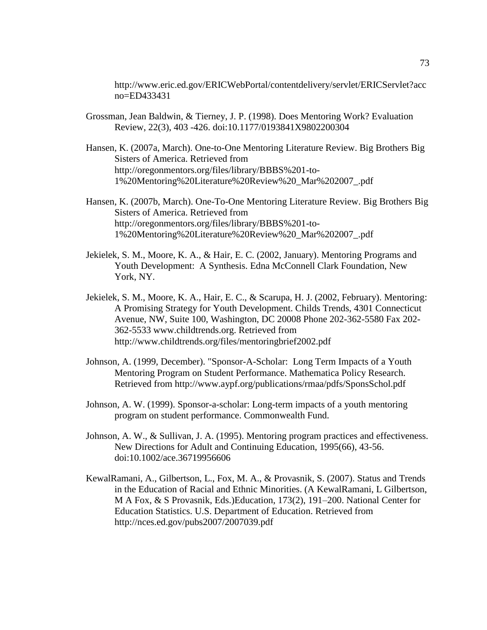http://www.eric.ed.gov/ERICWebPortal/contentdelivery/servlet/ERICServlet?acc no=ED433431

- Grossman, Jean Baldwin, & Tierney, J. P. (1998). Does Mentoring Work? Evaluation Review, 22(3), 403 -426. doi:10.1177/0193841X9802200304
- Hansen, K. (2007a, March). One-to-One Mentoring Literature Review. Big Brothers Big Sisters of America. Retrieved from http://oregonmentors.org/files/library/BBBS%201-to-1%20Mentoring%20Literature%20Review%20\_Mar%202007\_.pdf
- Hansen, K. (2007b, March). One-To-One Mentoring Literature Review. Big Brothers Big Sisters of America. Retrieved from http://oregonmentors.org/files/library/BBBS%201-to-1%20Mentoring%20Literature%20Review%20\_Mar%202007\_.pdf
- Jekielek, S. M., Moore, K. A., & Hair, E. C. (2002, January). Mentoring Programs and Youth Development: A Synthesis. Edna McConnell Clark Foundation, New York, NY.
- Jekielek, S. M., Moore, K. A., Hair, E. C., & Scarupa, H. J. (2002, February). Mentoring: A Promising Strategy for Youth Development. Childs Trends, 4301 Connecticut Avenue, NW, Suite 100, Washington, DC 20008 Phone 202-362-5580 Fax 202- 362-5533 www.childtrends.org. Retrieved from http://www.childtrends.org/files/mentoringbrief2002.pdf
- Johnson, A. (1999, December). "Sponsor-A-Scholar: Long Term Impacts of a Youth Mentoring Program on Student Performance. Mathematica Policy Research. Retrieved from http://www.aypf.org/publications/rmaa/pdfs/SponsSchol.pdf
- Johnson, A. W. (1999). Sponsor-a-scholar: Long-term impacts of a youth mentoring program on student performance. Commonwealth Fund.
- Johnson, A. W., & Sullivan, J. A. (1995). Mentoring program practices and effectiveness. New Directions for Adult and Continuing Education, 1995(66), 43-56. doi:10.1002/ace.36719956606
- KewalRamani, A., Gilbertson, L., Fox, M. A., & Provasnik, S. (2007). Status and Trends in the Education of Racial and Ethnic Minorities. (A KewalRamani, L Gilbertson, M A Fox, & S Provasnik, Eds.)Education, 173(2), 191–200. National Center for Education Statistics. U.S. Department of Education. Retrieved from http://nces.ed.gov/pubs2007/2007039.pdf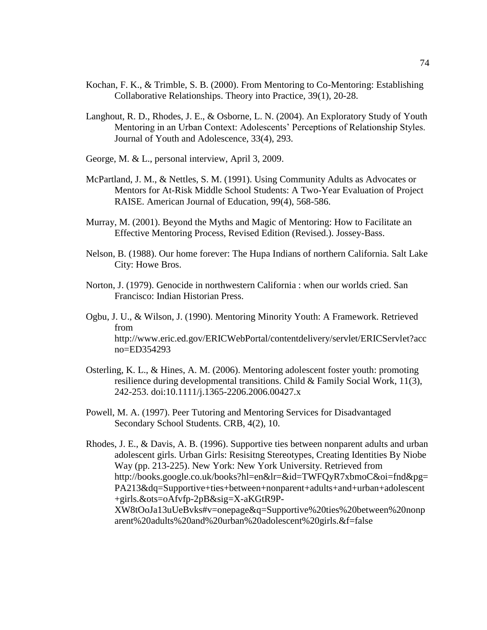- Kochan, F. K., & Trimble, S. B. (2000). From Mentoring to Co-Mentoring: Establishing Collaborative Relationships. Theory into Practice, 39(1), 20-28.
- Langhout, R. D., Rhodes, J. E., & Osborne, L. N. (2004). An Exploratory Study of Youth Mentoring in an Urban Context: Adolescents' Perceptions of Relationship Styles. Journal of Youth and Adolescence, 33(4), 293.
- George, M. & L., personal interview, April 3, 2009.
- McPartland, J. M., & Nettles, S. M. (1991). Using Community Adults as Advocates or Mentors for At-Risk Middle School Students: A Two-Year Evaluation of Project RAISE. American Journal of Education, 99(4), 568-586.
- Murray, M. (2001). Beyond the Myths and Magic of Mentoring: How to Facilitate an Effective Mentoring Process, Revised Edition (Revised.). Jossey-Bass.
- Nelson, B. (1988). Our home forever: The Hupa Indians of northern California. Salt Lake City: Howe Bros.
- Norton, J. (1979). Genocide in northwestern California : when our worlds cried. San Francisco: Indian Historian Press.
- Ogbu, J. U., & Wilson, J. (1990). Mentoring Minority Youth: A Framework. Retrieved from http://www.eric.ed.gov/ERICWebPortal/contentdelivery/servlet/ERICServlet?acc no=ED354293
- Osterling, K. L., & Hines, A. M. (2006). Mentoring adolescent foster youth: promoting resilience during developmental transitions. Child & Family Social Work, 11(3), 242-253. doi:10.1111/j.1365-2206.2006.00427.x
- Powell, M. A. (1997). Peer Tutoring and Mentoring Services for Disadvantaged Secondary School Students. CRB, 4(2), 10.
- Rhodes, J. E., & Davis, A. B. (1996). Supportive ties between nonparent adults and urban adolescent girls. Urban Girls: Resisitng Stereotypes, Creating Identities By Niobe Way (pp. 213-225). New York: New York University. Retrieved from http://books.google.co.uk/books?hl=en&lr=&id=TWFQyR7xbmoC&oi=fnd&pg= PA213&dq=Supportive+ties+between+nonparent+adults+and+urban+adolescent +girls.&ots=oAfvfp-2pB&sig=X-aKGtR9P-XW8tOoJa13uUeBvks#v=onepage&q=Supportive%20ties%20between%20nonp arent%20adults%20and%20urban%20adolescent%20girls.&f=false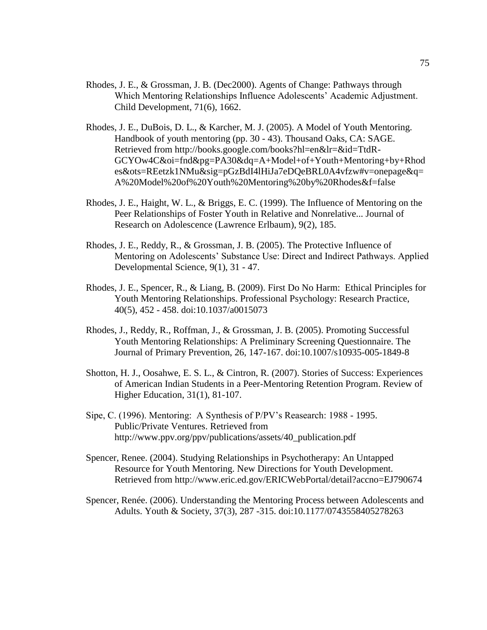- Rhodes, J. E., & Grossman, J. B. (Dec2000). Agents of Change: Pathways through Which Mentoring Relationships Influence Adolescents' Academic Adjustment. Child Development, 71(6), 1662.
- Rhodes, J. E., DuBois, D. L., & Karcher, M. J. (2005). A Model of Youth Mentoring. Handbook of youth mentoring (pp. 30 - 43). Thousand Oaks, CA: SAGE. Retrieved from http://books.google.com/books?hl=en&lr=&id=TtdR-GCYOw4C&oi=fnd&pg=PA30&dq=A+Model+of+Youth+Mentoring+by+Rhod es&ots=REetzk1NMu&sig=pGzBdI4lHiJa7eDQeBRL0A4vfzw#v=onepage&q= A%20Model%20of%20Youth%20Mentoring%20by%20Rhodes&f=false
- Rhodes, J. E., Haight, W. L., & Briggs, E. C. (1999). The Influence of Mentoring on the Peer Relationships of Foster Youth in Relative and Nonrelative... Journal of Research on Adolescence (Lawrence Erlbaum), 9(2), 185.
- Rhodes, J. E., Reddy, R., & Grossman, J. B. (2005). The Protective Influence of Mentoring on Adolescents' Substance Use: Direct and Indirect Pathways. Applied Developmental Science, 9(1), 31 - 47.
- Rhodes, J. E., Spencer, R., & Liang, B. (2009). First Do No Harm: Ethical Principles for Youth Mentoring Relationships. Professional Psychology: Research Practice, 40(5), 452 - 458. doi:10.1037/a0015073
- Rhodes, J., Reddy, R., Roffman, J., & Grossman, J. B. (2005). Promoting Successful Youth Mentoring Relationships: A Preliminary Screening Questionnaire. The Journal of Primary Prevention, 26, 147-167. doi:10.1007/s10935-005-1849-8
- Shotton, H. J., Oosahwe, E. S. L., & Cintron, R. (2007). Stories of Success: Experiences of American Indian Students in a Peer-Mentoring Retention Program. Review of Higher Education, 31(1), 81-107.
- Sipe, C. (1996). Mentoring: A Synthesis of P/PV's Reasearch: 1988 1995. Public/Private Ventures. Retrieved from http://www.ppv.org/ppv/publications/assets/40\_publication.pdf
- Spencer, Renee. (2004). Studying Relationships in Psychotherapy: An Untapped Resource for Youth Mentoring. New Directions for Youth Development. Retrieved from http://www.eric.ed.gov/ERICWebPortal/detail?accno=EJ790674
- Spencer, Renée. (2006). Understanding the Mentoring Process between Adolescents and Adults. Youth & Society, 37(3), 287 -315. doi:10.1177/0743558405278263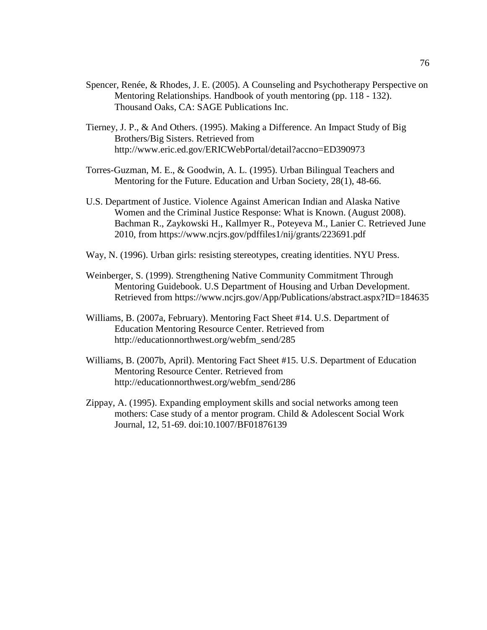- Spencer, Renée, & Rhodes, J. E. (2005). A Counseling and Psychotherapy Perspective on Mentoring Relationships. Handbook of youth mentoring (pp. 118 - 132). Thousand Oaks, CA: SAGE Publications Inc.
- Tierney, J. P., & And Others. (1995). Making a Difference. An Impact Study of Big Brothers/Big Sisters. Retrieved from http://www.eric.ed.gov/ERICWebPortal/detail?accno=ED390973
- Torres-Guzman, M. E., & Goodwin, A. L. (1995). Urban Bilingual Teachers and Mentoring for the Future. Education and Urban Society, 28(1), 48-66.
- U.S. Department of Justice. Violence Against American Indian and Alaska Native Women and the Criminal Justice Response: What is Known. (August 2008). Bachman R., Zaykowski H., Kallmyer R., Poteyeva M., Lanier C. Retrieved June 2010, from https://www.ncjrs.gov/pdffiles1/nij/grants/223691.pdf
- Way, N. (1996). Urban girls: resisting stereotypes, creating identities. NYU Press.
- Weinberger, S. (1999). Strengthening Native Community Commitment Through Mentoring Guidebook. U.S Department of Housing and Urban Development. Retrieved from https://www.ncjrs.gov/App/Publications/abstract.aspx?ID=184635
- Williams, B. (2007a, February). Mentoring Fact Sheet #14. U.S. Department of Education Mentoring Resource Center. Retrieved from http://educationnorthwest.org/webfm\_send/285
- Williams, B. (2007b, April). Mentoring Fact Sheet #15. U.S. Department of Education Mentoring Resource Center. Retrieved from http://educationnorthwest.org/webfm\_send/286
- Zippay, A. (1995). Expanding employment skills and social networks among teen mothers: Case study of a mentor program. Child & Adolescent Social Work Journal, 12, 51-69. doi:10.1007/BF01876139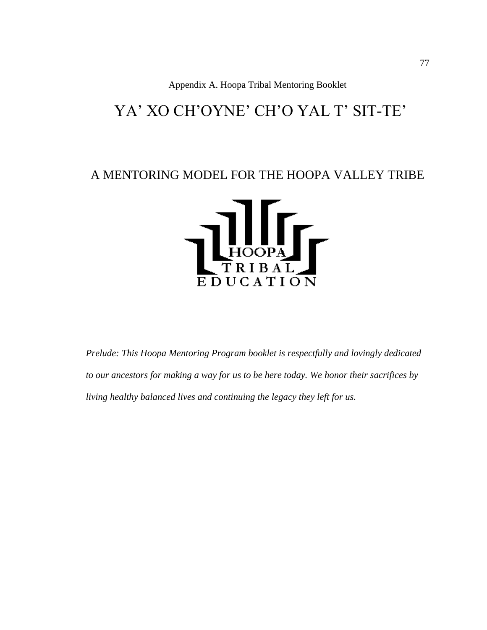Appendix A. Hoopa Tribal Mentoring Booklet

# YA' XO CH'OYNE' CH'O YAL T' SIT-TE'

### A MENTORING MODEL FOR THE HOOPA VALLEY TRIBE



*Prelude: This Hoopa Mentoring Program booklet is respectfully and lovingly dedicated to our ancestors for making a way for us to be here today. We honor their sacrifices by living healthy balanced lives and continuing the legacy they left for us.*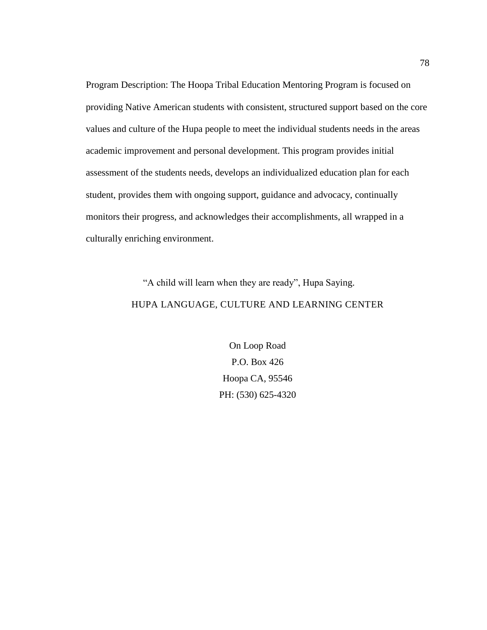Program Description: The Hoopa Tribal Education Mentoring Program is focused on providing Native American students with consistent, structured support based on the core values and culture of the Hupa people to meet the individual students needs in the areas academic improvement and personal development. This program provides initial assessment of the students needs, develops an individualized education plan for each student, provides them with ongoing support, guidance and advocacy, continually monitors their progress, and acknowledges their accomplishments, all wrapped in a culturally enriching environment.

## "A child will learn when they are ready", Hupa Saying. HUPA LANGUAGE, CULTURE AND LEARNING CENTER

On Loop Road P.O. Box 426 Hoopa CA, 95546 PH: (530) 625-4320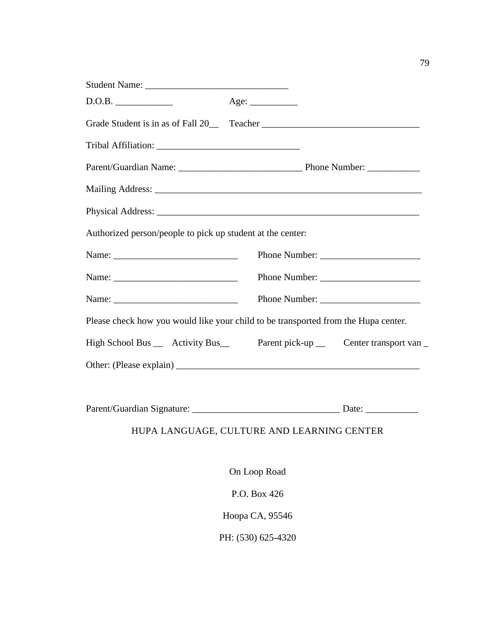| Student Name:                                                                                                                                                                                                                  |              |  |  |
|--------------------------------------------------------------------------------------------------------------------------------------------------------------------------------------------------------------------------------|--------------|--|--|
| D.O.B.                                                                                                                                                                                                                         | Age:         |  |  |
| Grade Student is in as of Fall 20_____ Teacher __________________________________                                                                                                                                              |              |  |  |
| Tribal Affiliation: National American Services of the Contractor of the Contractor of the Contractor of the Contractor of the Contractor of the Contractor of the Contractor of the Contractor of the Contractor of the Contra |              |  |  |
|                                                                                                                                                                                                                                |              |  |  |
|                                                                                                                                                                                                                                |              |  |  |
|                                                                                                                                                                                                                                |              |  |  |
| Authorized person/people to pick up student at the center:                                                                                                                                                                     |              |  |  |
|                                                                                                                                                                                                                                |              |  |  |
|                                                                                                                                                                                                                                |              |  |  |
|                                                                                                                                                                                                                                |              |  |  |
| Please check how you would like your child to be transported from the Hupa center.                                                                                                                                             |              |  |  |
| High School Bus __ Activity Bus __ Parent pick-up __ Center transport van                                                                                                                                                      |              |  |  |
|                                                                                                                                                                                                                                |              |  |  |
|                                                                                                                                                                                                                                |              |  |  |
| HUPA LANGUAGE, CULTURE AND LEARNING CENTER                                                                                                                                                                                     |              |  |  |
|                                                                                                                                                                                                                                | On Loop Road |  |  |

P.O. Box 426 Hoopa CA, 95546 PH: (530) 625-4320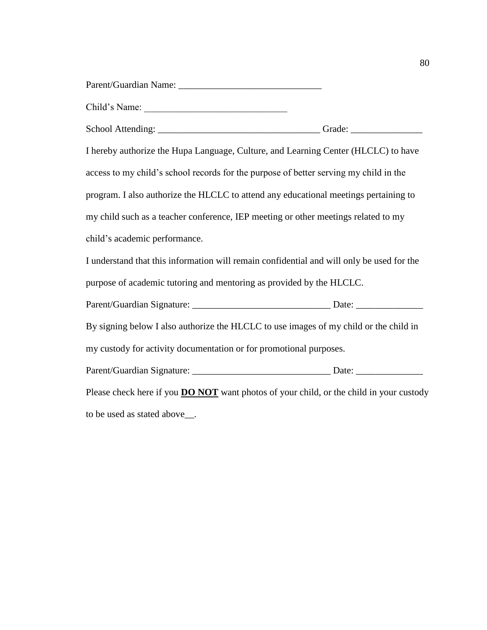| Child's Name:                                                                                  |  |  |  |  |  |
|------------------------------------------------------------------------------------------------|--|--|--|--|--|
|                                                                                                |  |  |  |  |  |
| I hereby authorize the Hupa Language, Culture, and Learning Center (HLCLC) to have             |  |  |  |  |  |
| access to my child's school records for the purpose of better serving my child in the          |  |  |  |  |  |
| program. I also authorize the HLCLC to attend any educational meetings pertaining to           |  |  |  |  |  |
| my child such as a teacher conference, IEP meeting or other meetings related to my             |  |  |  |  |  |
| child's academic performance.                                                                  |  |  |  |  |  |
| I understand that this information will remain confidential and will only be used for the      |  |  |  |  |  |
| purpose of academic tutoring and mentoring as provided by the HLCLC.                           |  |  |  |  |  |
|                                                                                                |  |  |  |  |  |
| By signing below I also authorize the HLCLC to use images of my child or the child in          |  |  |  |  |  |
| my custody for activity documentation or for promotional purposes.                             |  |  |  |  |  |
|                                                                                                |  |  |  |  |  |
| Please check here if you <b>DO NOT</b> want photos of your child, or the child in your custody |  |  |  |  |  |

to be used as stated above\_\_.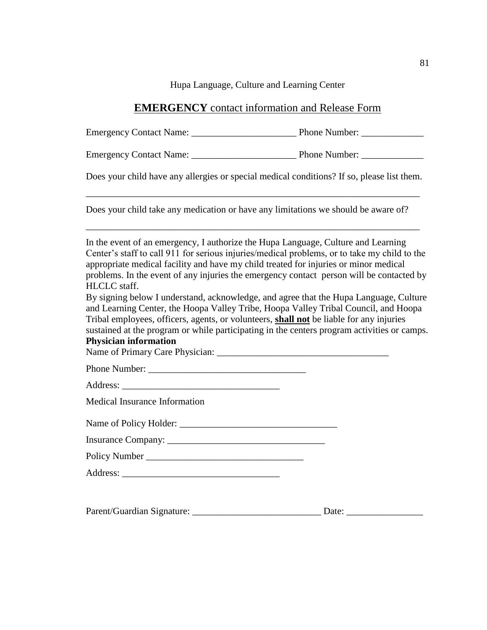Hupa Language, Culture and Learning Center

### **EMERGENCY** contact information and Release Form

Emergency Contact Name: \_\_\_\_\_\_\_\_\_\_\_\_\_\_\_\_\_\_\_\_\_\_ Phone Number: \_\_\_\_\_\_\_\_\_\_\_\_\_

Emergency Contact Name: The Phone Number:

Does your child have any allergies or special medical conditions? If so, please list them.

\_\_\_\_\_\_\_\_\_\_\_\_\_\_\_\_\_\_\_\_\_\_\_\_\_\_\_\_\_\_\_\_\_\_\_\_\_\_\_\_\_\_\_\_\_\_\_\_\_\_\_\_\_\_\_\_\_\_\_\_\_\_\_\_\_\_\_\_\_\_

\_\_\_\_\_\_\_\_\_\_\_\_\_\_\_\_\_\_\_\_\_\_\_\_\_\_\_\_\_\_\_\_\_\_\_\_\_\_\_\_\_\_\_\_\_\_\_\_\_\_\_\_\_\_\_\_\_\_\_\_\_\_\_\_\_\_\_\_\_\_

Does your child take any medication or have any limitations we should be aware of?

In the event of an emergency, I authorize the Hupa Language, Culture and Learning Center's staff to call 911 for serious injuries/medical problems, or to take my child to the appropriate medical facility and have my child treated for injuries or minor medical problems. In the event of any injuries the emergency contact person will be contacted by HLCLC staff. By signing below I understand, acknowledge, and agree that the Hupa Language, Culture and Learning Center, the Hoopa Valley Tribe, Hoopa Valley Tribal Council, and Hoopa Tribal employees, officers, agents, or volunteers, **shall not** be liable for any injuries

sustained at the program or while participating in the centers program activities or camps. **Physician information**

Name of Primary Care Physician:

Phone Number:

Address: \_\_\_\_\_\_\_\_\_\_\_\_\_\_\_\_\_\_\_\_\_\_\_\_\_\_\_\_\_\_\_\_\_

Medical Insurance Information

Name of Policy Holder: \_\_\_\_\_\_\_\_\_\_\_\_\_\_\_\_\_\_\_\_\_\_\_\_\_\_\_\_\_\_\_\_\_

Insurance Company: \_\_\_\_\_\_\_\_\_\_\_\_\_\_\_\_\_\_\_\_\_\_\_\_\_\_\_\_\_\_\_\_\_

Policy Number \_\_\_\_\_\_\_\_\_\_\_\_\_\_\_\_\_\_\_\_\_\_\_\_\_\_\_\_\_\_\_\_\_

Address:

| Parent/Guardian Signature: |  |  |
|----------------------------|--|--|
|----------------------------|--|--|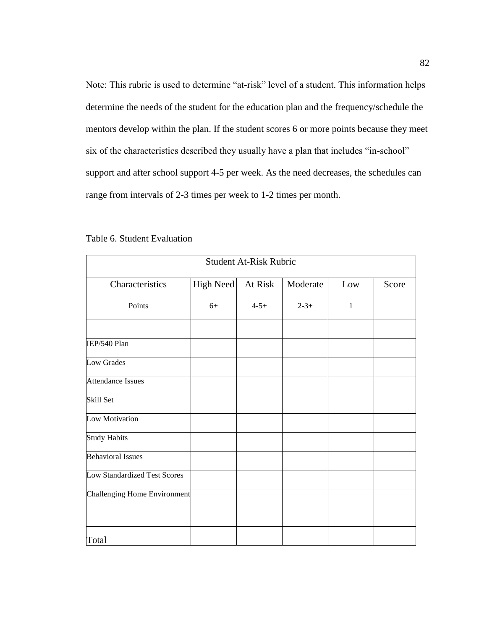Note: This rubric is used to determine "at-risk" level of a student. This information helps determine the needs of the student for the education plan and the frequency/schedule the mentors develop within the plan. If the student scores 6 or more points because they meet six of the characteristics described they usually have a plan that includes "in-school" support and after school support 4-5 per week. As the need decreases, the schedules can range from intervals of 2-3 times per week to 1-2 times per month.

| <b>Student At-Risk Rubric</b> |           |           |           |     |       |  |
|-------------------------------|-----------|-----------|-----------|-----|-------|--|
| Characteristics               | High Need | At Risk   | Moderate  | Low | Score |  |
| Points                        | $6+$      | $4 - 5 +$ | $2 - 3 +$ | 1   |       |  |
| IEP/540 Plan                  |           |           |           |     |       |  |
| Low Grades                    |           |           |           |     |       |  |
| <b>Attendance Issues</b>      |           |           |           |     |       |  |
| Skill Set                     |           |           |           |     |       |  |
| Low Motivation                |           |           |           |     |       |  |
| <b>Study Habits</b>           |           |           |           |     |       |  |
| <b>Behavioral Issues</b>      |           |           |           |     |       |  |
| Low Standardized Test Scores  |           |           |           |     |       |  |
| Challenging Home Environment  |           |           |           |     |       |  |
|                               |           |           |           |     |       |  |
| Total                         |           |           |           |     |       |  |

|  |  | Table 6. Student Evaluation |
|--|--|-----------------------------|
|--|--|-----------------------------|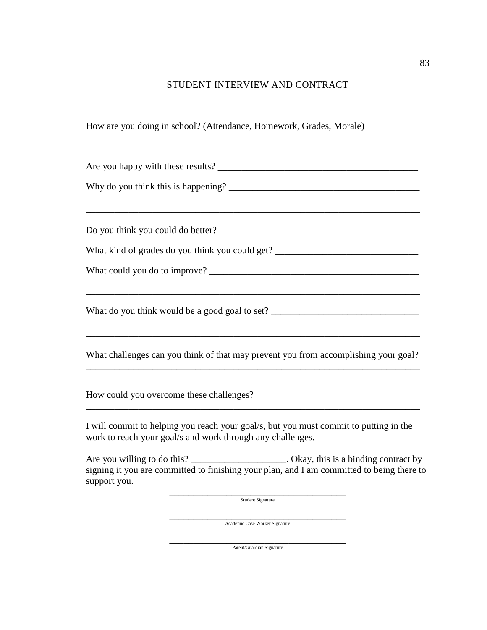### STUDENT INTERVIEW AND CONTRACT

\_\_\_\_\_\_\_\_\_\_\_\_\_\_\_\_\_\_\_\_\_\_\_\_\_\_\_\_\_\_\_\_\_\_\_\_\_\_\_\_\_\_\_\_\_\_\_\_\_\_\_\_\_\_\_\_\_\_\_\_\_\_\_\_\_\_\_\_\_\_

How are you doing in school? (Attendance, Homework, Grades, Morale)

Are you happy with these results? \_\_\_\_\_\_\_\_\_\_\_\_\_\_\_\_\_\_\_\_\_\_\_\_\_\_\_\_\_\_\_\_\_\_\_\_\_\_\_\_\_\_ Why do you think this is happening? \_\_\_\_\_\_\_\_\_\_\_\_\_\_\_\_\_\_\_\_\_\_\_\_\_\_\_\_\_\_\_\_\_\_\_\_\_\_\_\_ \_\_\_\_\_\_\_\_\_\_\_\_\_\_\_\_\_\_\_\_\_\_\_\_\_\_\_\_\_\_\_\_\_\_\_\_\_\_\_\_\_\_\_\_\_\_\_\_\_\_\_\_\_\_\_\_\_\_\_\_\_\_\_\_\_\_\_\_\_\_ Do you think you could do better? What kind of grades do you think you could get? \_\_\_\_\_\_\_\_\_\_\_\_\_\_\_\_\_\_\_\_\_\_\_\_\_\_\_\_\_\_\_\_\_ What could you do to improve? \_\_\_\_\_\_\_\_\_\_\_\_\_\_\_\_\_\_\_\_\_\_\_\_\_\_\_\_\_\_\_\_\_\_\_\_\_\_\_\_\_\_\_\_ \_\_\_\_\_\_\_\_\_\_\_\_\_\_\_\_\_\_\_\_\_\_\_\_\_\_\_\_\_\_\_\_\_\_\_\_\_\_\_\_\_\_\_\_\_\_\_\_\_\_\_\_\_\_\_\_\_\_\_\_\_\_\_\_\_\_\_\_\_\_ What do you think would be a good goal to set? \_\_\_\_\_\_\_\_\_\_\_\_\_\_\_\_\_\_\_\_\_\_\_\_\_\_\_\_\_\_\_\_\_\_\_\_\_\_\_\_\_\_\_\_\_\_\_\_\_\_\_\_\_\_\_\_\_\_\_\_\_\_\_\_\_\_\_\_\_\_ What challenges can you think of that may prevent you from accomplishing your goal? \_\_\_\_\_\_\_\_\_\_\_\_\_\_\_\_\_\_\_\_\_\_\_\_\_\_\_\_\_\_\_\_\_\_\_\_\_\_\_\_\_\_\_\_\_\_\_\_\_\_\_\_\_\_\_\_\_\_\_\_\_\_\_\_\_\_\_\_\_\_ How could you overcome these challenges? \_\_\_\_\_\_\_\_\_\_\_\_\_\_\_\_\_\_\_\_\_\_\_\_\_\_\_\_\_\_\_\_\_\_\_\_\_\_\_\_\_\_\_\_\_\_\_\_\_\_\_\_\_\_\_\_\_\_\_\_\_\_\_\_\_\_\_\_\_\_ I will commit to helping you reach your goal/s, but you must commit to putting in the work to reach your goal/s and work through any challenges. Are you willing to do this? \_\_\_\_\_\_\_\_\_\_\_\_\_\_\_\_\_\_\_\_\_. Okay, this is a binding contract by signing it you are committed to finishing your plan, and I am committed to being there to support you.

\_\_\_\_\_\_\_\_\_\_\_\_\_\_\_\_\_\_\_\_\_\_\_\_\_\_\_\_\_\_\_\_\_\_\_\_\_ Student Signature

\_\_\_\_\_\_\_\_\_\_\_\_\_\_\_\_\_\_\_\_\_\_\_\_\_\_\_\_\_\_\_\_\_\_\_\_\_ Academic Case Worker Signature

\_\_\_\_\_\_\_\_\_\_\_\_\_\_\_\_\_\_\_\_\_\_\_\_\_\_\_\_\_\_\_\_\_\_\_\_\_ Parent/Guardian Signature